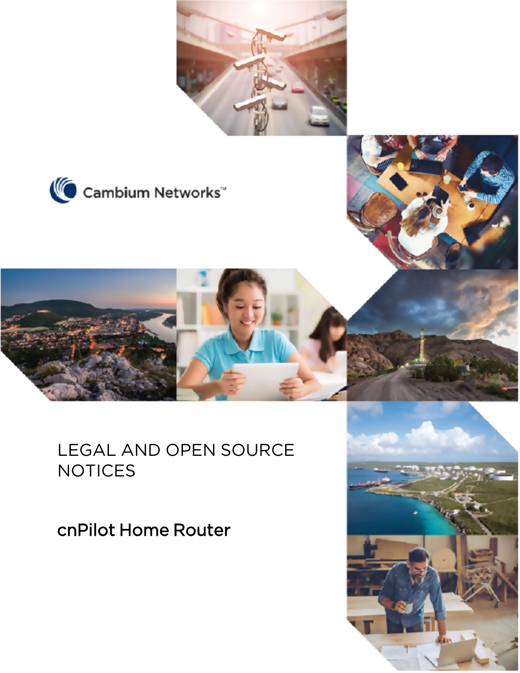





# LEGAL AND OPEN SOURCE **NOTICES**

cnPilot Home Router

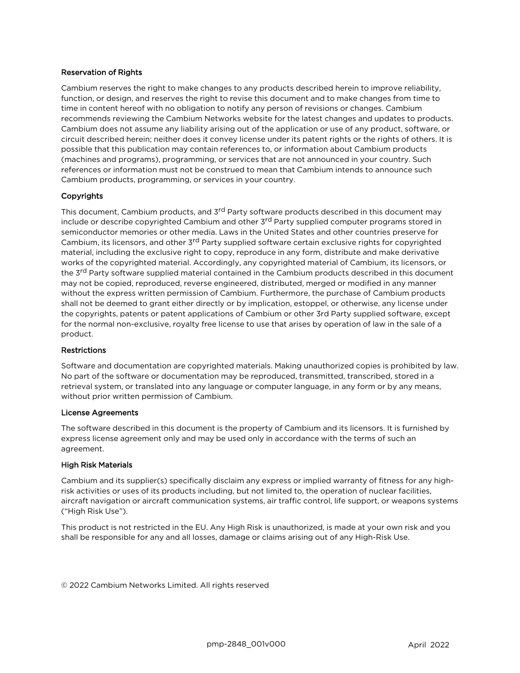#### Reservation of Rights

Cambium reserves the right to make changes to any products described herein to improve reliability, function, or design, and reserves the right to revise this document and to make changes from time to time in content hereof with no obligation to notify any person of revisions or changes. Cambium recommends reviewing the Cambium Networks website for the latest changes and updates to products. Cambium does not assume any liability arising out of the application or use of any product, software, or circuit described herein; neither does it convey license under its patent rights or the rights of others. It is possible that this publication may contain references to, or information about Cambium products (machines and programs), programming, or services that are not announced in your country. Such references or information must not be construed to mean that Cambium intends to announce such Cambium products, programming, or services in your country.

#### Copyrights

This document, Cambium products, and 3<sup>rd</sup> Party software products described in this document may include or describe copyrighted Cambium and other 3<sup>rd</sup> Party supplied computer programs stored in semiconductor memories or other media. Laws in the United States and other countries preserve for Cambium, its licensors, and other 3<sup>rd</sup> Party supplied software certain exclusive rights for copyrighted material, including the exclusive right to copy, reproduce in any form, distribute and make derivative works of the copyrighted material. Accordingly, any copyrighted material of Cambium, its licensors, or the 3<sup>rd</sup> Party software supplied material contained in the Cambium products described in this document may not be copied, reproduced, reverse engineered, distributed, merged or modified in any manner without the express written permission of Cambium. Furthermore, the purchase of Cambium products shall not be deemed to grant either directly or by implication, estoppel, or otherwise, any license under the copyrights, patents or patent applications of Cambium or other 3rd Party supplied software, except for the normal non-exclusive, royalty free license to use that arises by operation of law in the sale of a product.

#### **Restrictions**

Software and documentation are copyrighted materials. Making unauthorized copies is prohibited by law. No part of the software or documentation may be reproduced, transmitted, transcribed, stored in a retrieval system, or translated into any language or computer language, in any form or by any means, without prior written permission of Cambium.

#### License Agreements

The software described in this document is the property of Cambium and its licensors. It is furnished by express license agreement only and may be used only in accordance with the terms of such an agreement.

#### High Risk Materials

Cambium and its supplier(s) specifically disclaim any express or implied warranty of fitness for any highrisk activities or uses of its products including, but not limited to, the operation of nuclear facilities, aircraft navigation or aircraft communication systems, air traffic control, life support, or weapons systems ("High Risk Use").

This product is not restricted in the EU. Any High Risk is unauthorized, is made at your own risk and you shall be responsible for any and all losses, damage or claims arising out of any High-Risk Use.

© 2022 Cambium Networks Limited. All rights reserved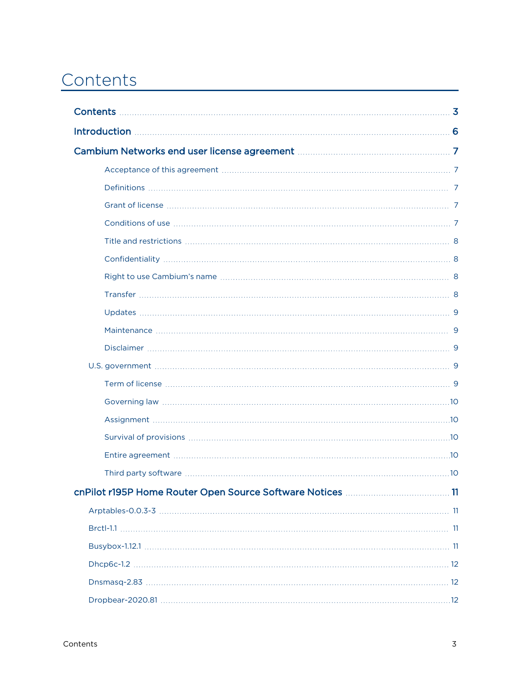# <span id="page-2-0"></span>Contents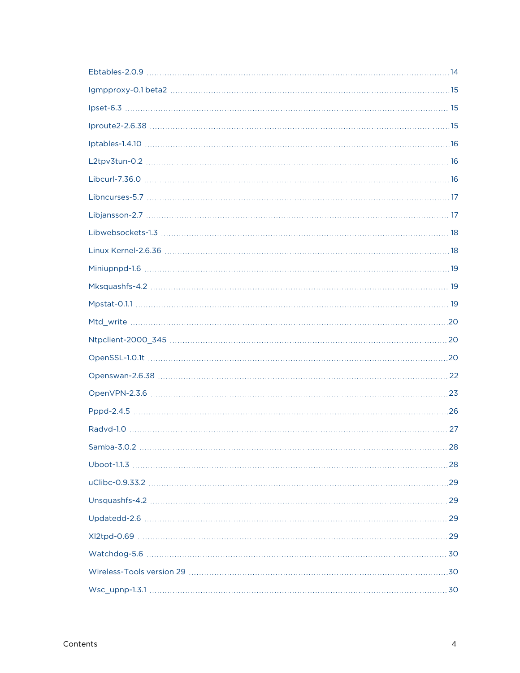| $Samba-3.0.2$<br>28 |
|---------------------|
|                     |
|                     |
|                     |
|                     |
|                     |
|                     |
|                     |
|                     |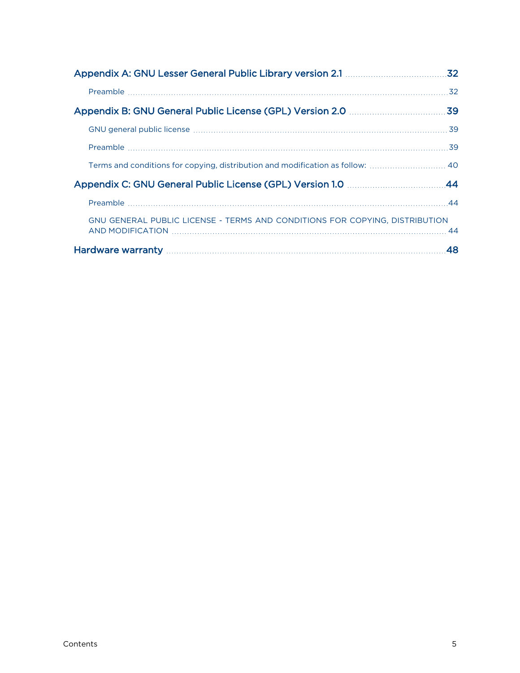|                                                                               | .32 |
|-------------------------------------------------------------------------------|-----|
|                                                                               |     |
|                                                                               |     |
|                                                                               |     |
|                                                                               |     |
| Terms and conditions for copying, distribution and modification as follow: 40 |     |
|                                                                               |     |
|                                                                               |     |
| GNU GENERAL PUBLIC LICENSE - TERMS AND CONDITIONS FOR COPYING, DISTRIBUTION   |     |
|                                                                               | 48  |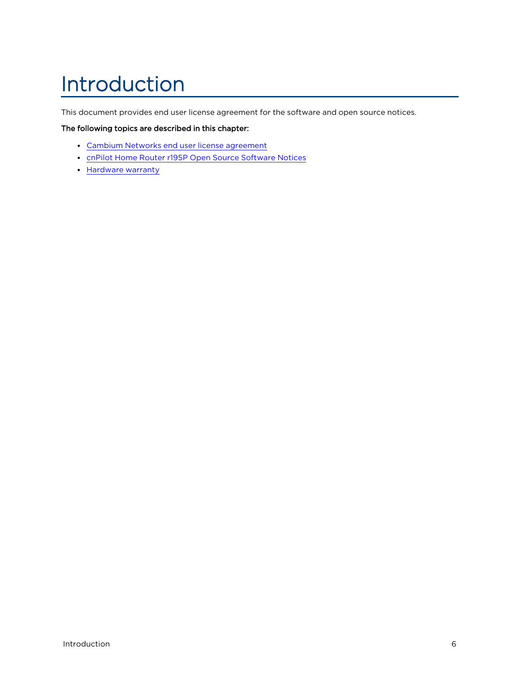# <span id="page-5-0"></span>Introduction

This document provides end user license agreement for the software and open source notices.

#### The following topics are described in this chapter:

- Cambium Networks end user license [agreement](#page-6-0)
- **cnPilot Home Router r195P Open Source [Software](#page-10-0) Notices**
- [Hardware](#page-47-0) warranty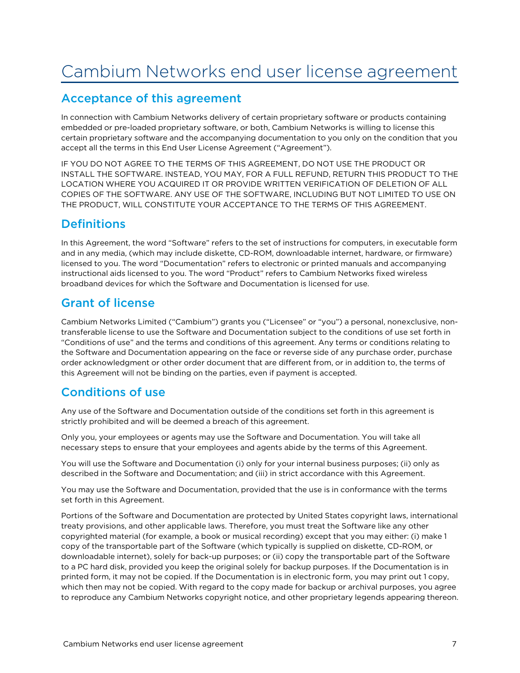# <span id="page-6-1"></span><span id="page-6-0"></span>Cambium Networks end user license agreement

### Acceptance of this agreement

In connection with Cambium Networks delivery of certain proprietary software or products containing embedded or pre-loaded proprietary software, or both, Cambium Networks is willing to license this certain proprietary software and the accompanying documentation to you only on the condition that you accept all the terms in this End User License Agreement ("Agreement").

IF YOU DO NOT AGREE TO THE TERMS OF THIS AGREEMENT, DO NOT USE THE PRODUCT OR INSTALL THE SOFTWARE. INSTEAD, YOU MAY, FOR A FULL REFUND, RETURN THIS PRODUCT TO THE LOCATION WHERE YOU ACQUIRED IT OR PROVIDE WRITTEN VERIFICATION OF DELETION OF ALL COPIES OF THE SOFTWARE. ANY USE OF THE SOFTWARE, INCLUDING BUT NOT LIMITED TO USE ON THE PRODUCT, WILL CONSTITUTE YOUR ACCEPTANCE TO THE TERMS OF THIS AGREEMENT.

### <span id="page-6-2"></span>**Definitions**

In this Agreement, the word "Software" refers to the set of instructions for computers, in executable form and in any media, (which may include diskette, CD-ROM, downloadable internet, hardware, or firmware) licensed to you. The word "Documentation" refers to electronic or printed manuals and accompanying instructional aids licensed to you. The word "Product" refers to Cambium Networks fixed wireless broadband devices for which the Software and Documentation is licensed for use.

### <span id="page-6-3"></span>Grant of license

Cambium Networks Limited ("Cambium") grants you ("Licensee" or "you") a personal, nonexclusive, nontransferable license to use the Software and Documentation subject to the conditions of use set forth in "Conditions of use" and the terms and conditions of this agreement. Any terms or conditions relating to the Software and Documentation appearing on the face or reverse side of any purchase order, purchase order acknowledgment or other order document that are different from, or in addition to, the terms of this Agreement will not be binding on the parties, even if payment is accepted.

### <span id="page-6-4"></span>Conditions of use

Any use of the Software and Documentation outside of the conditions set forth in this agreement is strictly prohibited and will be deemed a breach of this agreement.

Only you, your employees or agents may use the Software and Documentation. You will take all necessary steps to ensure that your employees and agents abide by the terms of this Agreement.

You will use the Software and Documentation (i) only for your internal business purposes; (ii) only as described in the Software and Documentation; and (iii) in strict accordance with this Agreement.

You may use the Software and Documentation, provided that the use is in conformance with the terms set forth in this Agreement.

Portions of the Software and Documentation are protected by United States copyright laws, international treaty provisions, and other applicable laws. Therefore, you must treat the Software like any other copyrighted material (for example, a book or musical recording) except that you may either: (i) make 1 copy of the transportable part of the Software (which typically is supplied on diskette, CD-ROM, or downloadable internet), solely for back-up purposes; or (ii) copy the transportable part of the Software to a PC hard disk, provided you keep the original solely for backup purposes. If the Documentation is in printed form, it may not be copied. If the Documentation is in electronic form, you may print out 1 copy, which then may not be copied. With regard to the copy made for backup or archival purposes, you agree to reproduce any Cambium Networks copyright notice, and other proprietary legends appearing thereon.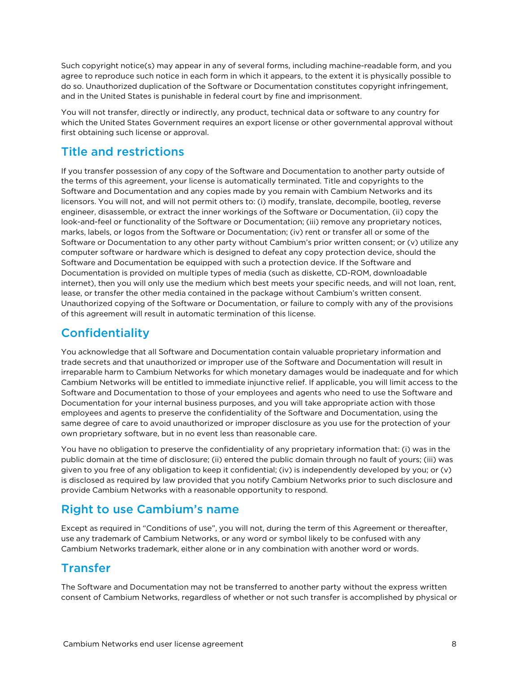Such copyright notice(s) may appear in any of several forms, including machine-readable form, and you agree to reproduce such notice in each form in which it appears, to the extent it is physically possible to do so. Unauthorized duplication of the Software or Documentation constitutes copyright infringement, and in the United States is punishable in federal court by fine and imprisonment.

You will not transfer, directly or indirectly, any product, technical data or software to any country for which the United States Government requires an export license or other governmental approval without first obtaining such license or approval.

### <span id="page-7-0"></span>Title and restrictions

If you transfer possession of any copy of the Software and Documentation to another party outside of the terms of this agreement, your license is automatically terminated. Title and copyrights to the Software and Documentation and any copies made by you remain with Cambium Networks and its licensors. You will not, and will not permit others to: (i) modify, translate, decompile, bootleg, reverse engineer, disassemble, or extract the inner workings of the Software or Documentation, (ii) copy the look-and-feel or functionality of the Software or Documentation; (iii) remove any proprietary notices, marks, labels, or logos from the Software or Documentation; (iv) rent or transfer all or some of the Software or Documentation to any other party without Cambium's prior written consent; or (v) utilize any computer software or hardware which is designed to defeat any copy protection device, should the Software and Documentation be equipped with such a protection device. If the Software and Documentation is provided on multiple types of media (such as diskette, CD-ROM, downloadable internet), then you will only use the medium which best meets your specific needs, and will not loan, rent, lease, or transfer the other media contained in the package without Cambium's written consent. Unauthorized copying of the Software or Documentation, or failure to comply with any of the provisions of this agreement will result in automatic termination of this license.

### <span id="page-7-1"></span>**Confidentiality**

You acknowledge that all Software and Documentation contain valuable proprietary information and trade secrets and that unauthorized or improper use of the Software and Documentation will result in irreparable harm to Cambium Networks for which monetary damages would be inadequate and for which Cambium Networks will be entitled to immediate injunctive relief. If applicable, you will limit access to the Software and Documentation to those of your employees and agents who need to use the Software and Documentation for your internal business purposes, and you will take appropriate action with those employees and agents to preserve the confidentiality of the Software and Documentation, using the same degree of care to avoid unauthorized or improper disclosure as you use for the protection of your own proprietary software, but in no event less than reasonable care.

You have no obligation to preserve the confidentiality of any proprietary information that: (i) was in the public domain at the time of disclosure; (ii) entered the public domain through no fault of yours; (iii) was given to you free of any obligation to keep it confidential; (iv) is independently developed by you; or (v) is disclosed as required by law provided that you notify Cambium Networks prior to such disclosure and provide Cambium Networks with a reasonable opportunity to respond.

### <span id="page-7-2"></span>Right to use Cambium's name

Except as required in "Conditions of use", you will not, during the term of this Agreement or thereafter, use any trademark of Cambium Networks, or any word or symbol likely to be confused with any Cambium Networks trademark, either alone or in any combination with another word or words.

### <span id="page-7-3"></span>Transfer

The Software and Documentation may not be transferred to another party without the express written consent of Cambium Networks, regardless of whether or not such transfer is accomplished by physical or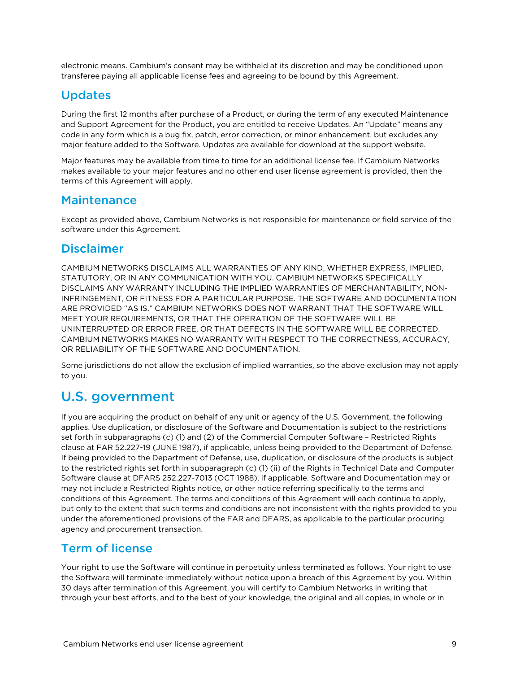<span id="page-8-0"></span>electronic means. Cambium's consent may be withheld at its discretion and may be conditioned upon transferee paying all applicable license fees and agreeing to be bound by this Agreement.

### Updates

During the first 12 months after purchase of a Product, or during the term of any executed Maintenance and Support Agreement for the Product, you are entitled to receive Updates. An "Update" means any code in any form which is a bug fix, patch, error correction, or minor enhancement, but excludes any major feature added to the Software. Updates are available for download at the support website.

Major features may be available from time to time for an additional license fee. If Cambium Networks makes available to your major features and no other end user license agreement is provided, then the terms of this Agreement will apply.

#### <span id="page-8-1"></span>**Maintenance**

<span id="page-8-2"></span>Except as provided above, Cambium Networks is not responsible for maintenance or field service of the software under this Agreement.

#### Disclaimer

CAMBIUM NETWORKS DISCLAIMS ALL WARRANTIES OF ANY KIND, WHETHER EXPRESS, IMPLIED, STATUTORY, OR IN ANY COMMUNICATION WITH YOU. CAMBIUM NETWORKS SPECIFICALLY DISCLAIMS ANY WARRANTY INCLUDING THE IMPLIED WARRANTIES OF MERCHANTABILITY, NON-INFRINGEMENT, OR FITNESS FOR A PARTICULAR PURPOSE. THE SOFTWARE AND DOCUMENTATION ARE PROVIDED "AS IS." CAMBIUM NETWORKS DOES NOT WARRANT THAT THE SOFTWARE WILL MEET YOUR REQUIREMENTS, OR THAT THE OPERATION OF THE SOFTWARE WILL BE UNINTERRUPTED OR ERROR FREE, OR THAT DEFECTS IN THE SOFTWARE WILL BE CORRECTED. CAMBIUM NETWORKS MAKES NO WARRANTY WITH RESPECT TO THE CORRECTNESS, ACCURACY, OR RELIABILITY OF THE SOFTWARE AND DOCUMENTATION.

<span id="page-8-3"></span>Some jurisdictions do not allow the exclusion of implied warranties, so the above exclusion may not apply to you.

## U.S. government

If you are acquiring the product on behalf of any unit or agency of the U.S. Government, the following applies. Use duplication, or disclosure of the Software and Documentation is subject to the restrictions set forth in subparagraphs (c) (1) and (2) of the Commercial Computer Software – Restricted Rights clause at FAR 52.227-19 (JUNE 1987), if applicable, unless being provided to the Department of Defense. If being provided to the Department of Defense, use, duplication, or disclosure of the products is subject to the restricted rights set forth in subparagraph (c) (1) (ii) of the Rights in Technical Data and Computer Software clause at DFARS 252.227-7013 (OCT 1988), if applicable. Software and Documentation may or may not include a Restricted Rights notice, or other notice referring specifically to the terms and conditions of this Agreement. The terms and conditions of this Agreement will each continue to apply, but only to the extent that such terms and conditions are not inconsistent with the rights provided to you under the aforementioned provisions of the FAR and DFARS, as applicable to the particular procuring agency and procurement transaction.

### <span id="page-8-4"></span>Term of license

Your right to use the Software will continue in perpetuity unless terminated as follows. Your right to use the Software will terminate immediately without notice upon a breach of this Agreement by you. Within 30 days after termination of this Agreement, you will certify to Cambium Networks in writing that through your best efforts, and to the best of your knowledge, the original and all copies, in whole or in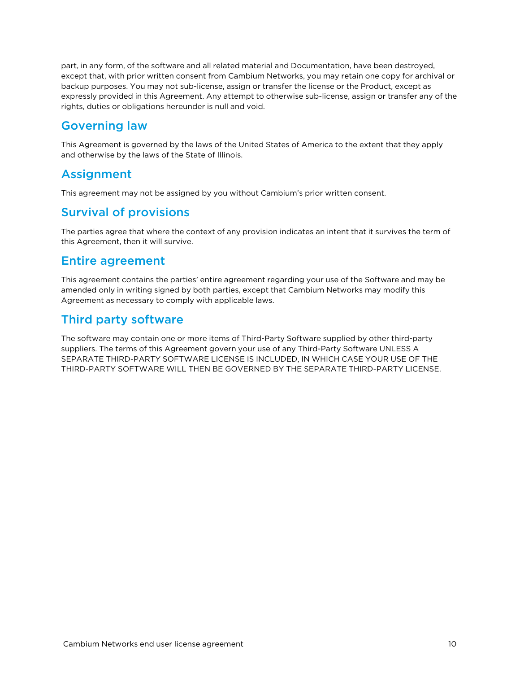part, in any form, of the software and all related material and Documentation, have been destroyed, except that, with prior written consent from Cambium Networks, you may retain one copy for archival or backup purposes. You may not sub-license, assign or transfer the license or the Product, except as expressly provided in this Agreement. Any attempt to otherwise sub-license, assign or transfer any of the rights, duties or obligations hereunder is null and void.

### <span id="page-9-0"></span>Governing law

<span id="page-9-1"></span>This Agreement is governed by the laws of the United States of America to the extent that they apply and otherwise by the laws of the State of Illinois.

### Assignment

<span id="page-9-2"></span>This agreement may not be assigned by you without Cambium's prior written consent.

### Survival of provisions

<span id="page-9-3"></span>The parties agree that where the context of any provision indicates an intent that it survives the term of this Agreement, then it will survive.

#### Entire agreement

This agreement contains the parties' entire agreement regarding your use of the Software and may be amended only in writing signed by both parties, except that Cambium Networks may modify this Agreement as necessary to comply with applicable laws.

### <span id="page-9-4"></span>Third party software

The software may contain one or more items of Third-Party Software supplied by other third-party suppliers. The terms of this Agreement govern your use of any Third-Party Software UNLESS A SEPARATE THIRD-PARTY SOFTWARE LICENSE IS INCLUDED, IN WHICH CASE YOUR USE OF THE THIRD-PARTY SOFTWARE WILL THEN BE GOVERNED BY THE SEPARATE THIRD-PARTY LICENSE.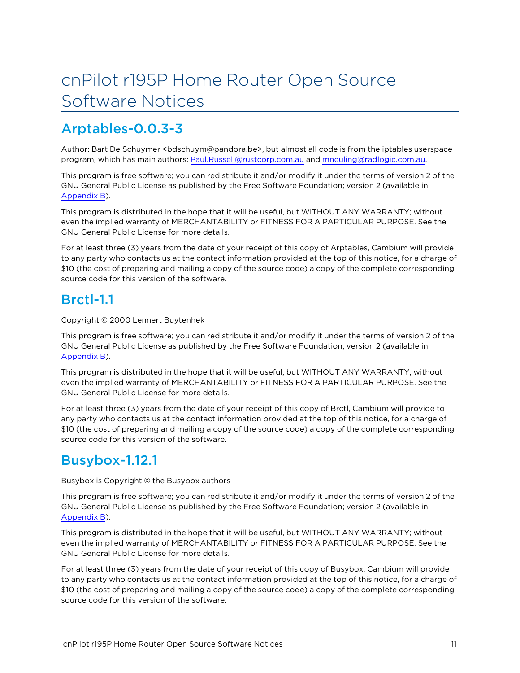# <span id="page-10-0"></span>cnPilot r195P Home Router Open Source Software Notices

## <span id="page-10-1"></span>Arptables-0.0.3-3

Author: Bart De Schuymer <bdschuym@pandora.be>, but almost all code is from the iptables userspace program, which has main authors: [Paul.Russell@rustcorp.com.au](mailto:Paul.Russell@rustcorp.com.au) and [mneuling@radlogic.com.au.](mailto:mneuling@radlogic.com.au)

This program is free software; you can redistribute it and/or modify it under the terms of version 2 of the GNU General Public License as published by the Free Software Foundation; version 2 (available in [Appendix](#page-38-0) B).

This program is distributed in the hope that it will be useful, but WITHOUT ANY WARRANTY; without even the implied warranty of MERCHANTABILITY or FITNESS FOR A PARTICULAR PURPOSE. See the GNU General Public License for more details.

For at least three (3) years from the date of your receipt of this copy of Arptables, Cambium will provide to any party who contacts us at the contact information provided at the top of this notice, for a charge of \$10 (the cost of preparing and mailing a copy of the source code) a copy of the complete corresponding source code for this version of the software.

## <span id="page-10-2"></span>Brctl-1.1

Copyright © 2000 Lennert Buytenhek

This program is free software; you can redistribute it and/or modify it under the terms of version 2 of the GNU General Public License as published by the Free Software Foundation; version 2 (available in [Appendix](#page-38-0) B).

This program is distributed in the hope that it will be useful, but WITHOUT ANY WARRANTY; without even the implied warranty of MERCHANTABILITY or FITNESS FOR A PARTICULAR PURPOSE. See the GNU General Public License for more details.

For at least three (3) years from the date of your receipt of this copy of Brctl, Cambium will provide to any party who contacts us at the contact information provided at the top of this notice, for a charge of \$10 (the cost of preparing and mailing a copy of the source code) a copy of the complete corresponding source code for this version of the software.

## <span id="page-10-3"></span>Busybox-1.12.1

Busybox is Copyright © the Busybox authors

This program is free software; you can redistribute it and/or modify it under the terms of version 2 of the GNU General Public License as published by the Free Software Foundation; version 2 (available in [Appendix](#page-38-0) B).

This program is distributed in the hope that it will be useful, but WITHOUT ANY WARRANTY; without even the implied warranty of MERCHANTABILITY or FITNESS FOR A PARTICULAR PURPOSE. See the GNU General Public License for more details.

For at least three (3) years from the date of your receipt of this copy of Busybox, Cambium will provide to any party who contacts us at the contact information provided at the top of this notice, for a charge of \$10 (the cost of preparing and mailing a copy of the source code) a copy of the complete corresponding source code for this version of the software.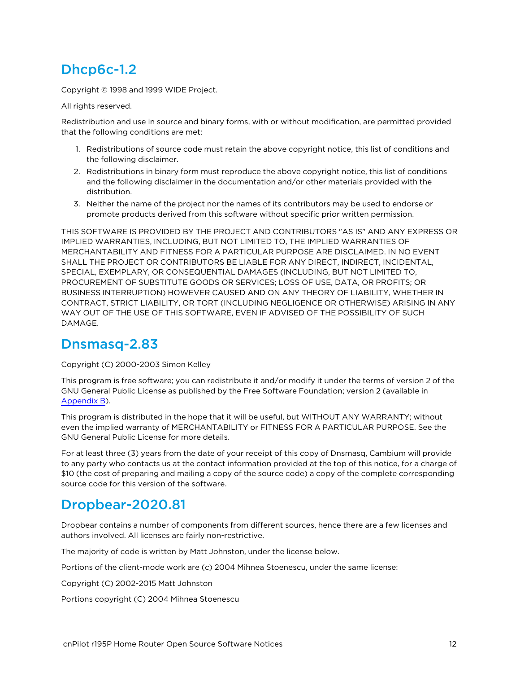## <span id="page-11-0"></span>Dhcp6c-1.2

Copyright © 1998 and 1999 WIDE Project.

All rights reserved.

Redistribution and use in source and binary forms, with or without modification, are permitted provided that the following conditions are met:

- 1. Redistributions of source code must retain the above copyright notice, this list of conditions and the following disclaimer.
- 2. Redistributions in binary form must reproduce the above copyright notice, this list of conditions and the following disclaimer in the documentation and/or other materials provided with the distribution.
- 3. Neither the name of the project nor the names of its contributors may be used to endorse or promote products derived from this software without specific prior written permission.

THIS SOFTWARE IS PROVIDED BY THE PROJECT AND CONTRIBUTORS "AS IS" AND ANY EXPRESS OR IMPLIED WARRANTIES, INCLUDING, BUT NOT LIMITED TO, THE IMPLIED WARRANTIES OF MERCHANTABILITY AND FITNESS FOR A PARTICULAR PURPOSE ARE DISCLAIMED. IN NO EVENT SHALL THE PROJECT OR CONTRIBUTORS BE LIABLE FOR ANY DIRECT, INDIRECT, INCIDENTAL, SPECIAL, EXEMPLARY, OR CONSEQUENTIAL DAMAGES (INCLUDING, BUT NOT LIMITED TO, PROCUREMENT OF SUBSTITUTE GOODS OR SERVICES; LOSS OF USE, DATA, OR PROFITS; OR BUSINESS INTERRUPTION) HOWEVER CAUSED AND ON ANY THEORY OF LIABILITY, WHETHER IN CONTRACT, STRICT LIABILITY, OR TORT (INCLUDING NEGLIGENCE OR OTHERWISE) ARISING IN ANY WAY OUT OF THE USE OF THIS SOFTWARE, EVEN IF ADVISED OF THE POSSIBILITY OF SUCH DAMAGE.

## <span id="page-11-1"></span>Dnsmasq-2.83

#### Copyright (C) 2000-2003 Simon Kelley

This program is free software; you can redistribute it and/or modify it under the terms of version 2 of the GNU General Public License as published by the Free Software Foundation; version 2 (available in [Appendix](#page-38-0) B).

This program is distributed in the hope that it will be useful, but WITHOUT ANY WARRANTY; without even the implied warranty of MERCHANTABILITY or FITNESS FOR A PARTICULAR PURPOSE. See the GNU General Public License for more details.

For at least three (3) years from the date of your receipt of this copy of Dnsmasq, Cambium will provide to any party who contacts us at the contact information provided at the top of this notice, for a charge of \$10 (the cost of preparing and mailing a copy of the source code) a copy of the complete corresponding source code for this version of the software.

### <span id="page-11-2"></span>Dropbear-2020.81

Dropbear contains a number of components from different sources, hence there are a few licenses and authors involved. All licenses are fairly non-restrictive.

The majority of code is written by Matt Johnston, under the license below.

Portions of the client-mode work are (c) 2004 Mihnea Stoenescu, under the same license:

Copyright (C) 2002-2015 Matt Johnston

Portions copyright (C) 2004 Mihnea Stoenescu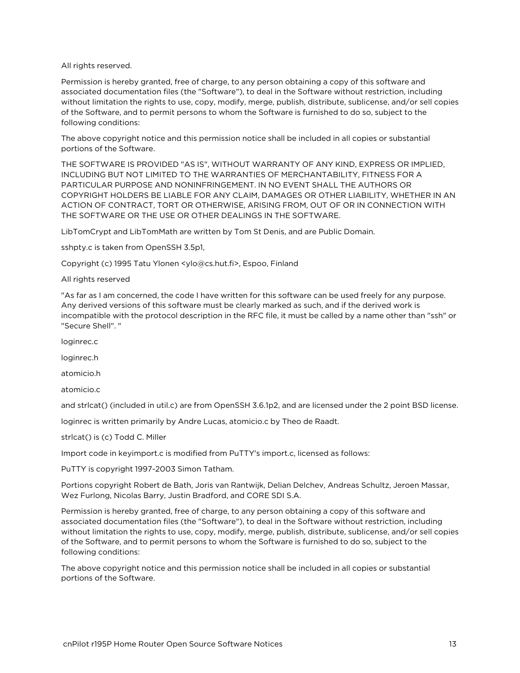All rights reserved.

Permission is hereby granted, free of charge, to any person obtaining a copy of this software and associated documentation files (the "Software"), to deal in the Software without restriction, including without limitation the rights to use, copy, modify, merge, publish, distribute, sublicense, and/or sell copies of the Software, and to permit persons to whom the Software is furnished to do so, subject to the following conditions:

The above copyright notice and this permission notice shall be included in all copies or substantial portions of the Software.

THE SOFTWARE IS PROVIDED "AS IS", WITHOUT WARRANTY OF ANY KIND, EXPRESS OR IMPLIED, INCLUDING BUT NOT LIMITED TO THE WARRANTIES OF MERCHANTABILITY, FITNESS FOR A PARTICULAR PURPOSE AND NONINFRINGEMENT. IN NO EVENT SHALL THE AUTHORS OR COPYRIGHT HOLDERS BE LIABLE FOR ANY CLAIM, DAMAGES OR OTHER LIABILITY, WHETHER IN AN ACTION OF CONTRACT, TORT OR OTHERWISE, ARISING FROM, OUT OF OR IN CONNECTION WITH THE SOFTWARE OR THE USE OR OTHER DEALINGS IN THE SOFTWARE.

LibTomCrypt and LibTomMath are written by Tom St Denis, and are Public Domain.

sshpty.c is taken from OpenSSH 3.5p1,

Copyright (c) 1995 Tatu Ylonen <ylo@cs.hut.fi>, Espoo, Finland

All rights reserved

"As far as I am concerned, the code I have written for this software can be used freely for any purpose. Any derived versions of this software must be clearly marked as such, and if the derived work is incompatible with the protocol description in the RFC file, it must be called by a name other than "ssh" or "Secure Shell". "

loginrec.c

loginrec.h

atomicio.h

atomicio.c

and strlcat() (included in util.c) are from OpenSSH 3.6.1p2, and are licensed under the 2 point BSD license.

loginrec is written primarily by Andre Lucas, atomicio.c by Theo de Raadt.

strlcat() is (c) Todd C. Miller

Import code in keyimport.c is modified from PuTTY's import.c, licensed as follows:

PuTTY is copyright 1997-2003 Simon Tatham.

Portions copyright Robert de Bath, Joris van Rantwijk, Delian Delchev, Andreas Schultz, Jeroen Massar, Wez Furlong, Nicolas Barry, Justin Bradford, and CORE SDI S.A.

Permission is hereby granted, free of charge, to any person obtaining a copy of this software and associated documentation files (the "Software"), to deal in the Software without restriction, including without limitation the rights to use, copy, modify, merge, publish, distribute, sublicense, and/or sell copies of the Software, and to permit persons to whom the Software is furnished to do so, subject to the following conditions:

The above copyright notice and this permission notice shall be included in all copies or substantial portions of the Software.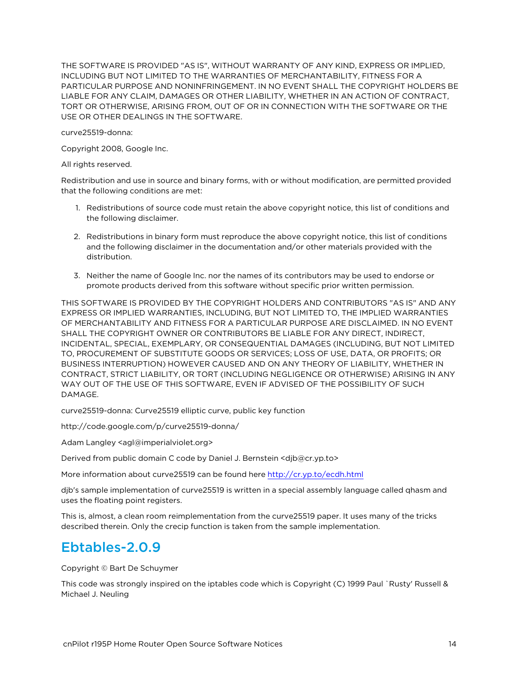THE SOFTWARE IS PROVIDED "AS IS", WITHOUT WARRANTY OF ANY KIND, EXPRESS OR IMPLIED, INCLUDING BUT NOT LIMITED TO THE WARRANTIES OF MERCHANTABILITY, FITNESS FOR A PARTICULAR PURPOSE AND NONINFRINGEMENT. IN NO EVENT SHALL THE COPYRIGHT HOLDERS BE LIABLE FOR ANY CLAIM, DAMAGES OR OTHER LIABILITY, WHETHER IN AN ACTION OF CONTRACT, TORT OR OTHERWISE, ARISING FROM, OUT OF OR IN CONNECTION WITH THE SOFTWARE OR THE USE OR OTHER DEALINGS IN THE SOFTWARE.

curve25519-donna:

Copyright 2008, Google Inc.

All rights reserved.

Redistribution and use in source and binary forms, with or without modification, are permitted provided that the following conditions are met:

- 1. Redistributions of source code must retain the above copyright notice, this list of conditions and the following disclaimer.
- 2. Redistributions in binary form must reproduce the above copyright notice, this list of conditions and the following disclaimer in the documentation and/or other materials provided with the distribution.
- 3. Neither the name of Google Inc. nor the names of its contributors may be used to endorse or promote products derived from this software without specific prior written permission.

THIS SOFTWARE IS PROVIDED BY THE COPYRIGHT HOLDERS AND CONTRIBUTORS "AS IS" AND ANY EXPRESS OR IMPLIED WARRANTIES, INCLUDING, BUT NOT LIMITED TO, THE IMPLIED WARRANTIES OF MERCHANTABILITY AND FITNESS FOR A PARTICULAR PURPOSE ARE DISCLAIMED. IN NO EVENT SHALL THE COPYRIGHT OWNER OR CONTRIBUTORS BE LIABLE FOR ANY DIRECT, INDIRECT, INCIDENTAL, SPECIAL, EXEMPLARY, OR CONSEQUENTIAL DAMAGES (INCLUDING, BUT NOT LIMITED TO, PROCUREMENT OF SUBSTITUTE GOODS OR SERVICES; LOSS OF USE, DATA, OR PROFITS; OR BUSINESS INTERRUPTION) HOWEVER CAUSED AND ON ANY THEORY OF LIABILITY, WHETHER IN CONTRACT, STRICT LIABILITY, OR TORT (INCLUDING NEGLIGENCE OR OTHERWISE) ARISING IN ANY WAY OUT OF THE USE OF THIS SOFTWARE, EVEN IF ADVISED OF THE POSSIBILITY OF SUCH DAMAGE.

curve25519-donna: Curve25519 elliptic curve, public key function

http://code.google.com/p/curve25519-donna/

Adam Langley <agl@imperialviolet.org>

Derived from public domain C code by Daniel J. Bernstein <djb@cr.yp.to>

More information about curve25519 can be found here <http://cr.yp.to/ecdh.html>

djb's sample implementation of curve25519 is written in a special assembly language called qhasm and uses the floating point registers.

<span id="page-13-0"></span>This is, almost, a clean room reimplementation from the curve25519 paper. It uses many of the tricks described therein. Only the crecip function is taken from the sample implementation.

## Ebtables-2.0.9

Copyright © Bart De Schuymer

This code was strongly inspired on the iptables code which is Copyright (C) 1999 Paul `Rusty' Russell & Michael J. Neuling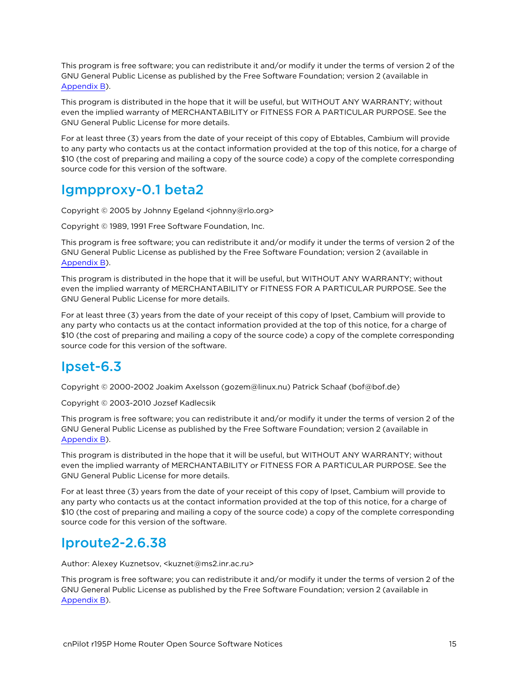This program is free software; you can redistribute it and/or modify it under the terms of version 2 of the GNU General Public License as published by the Free Software Foundation; version 2 (available in [Appendix](#page-38-0) B).

This program is distributed in the hope that it will be useful, but WITHOUT ANY WARRANTY; without even the implied warranty of MERCHANTABILITY or FITNESS FOR A PARTICULAR PURPOSE. See the GNU General Public License for more details.

For at least three (3) years from the date of your receipt of this copy of Ebtables, Cambium will provide to any party who contacts us at the contact information provided at the top of this notice, for a charge of \$10 (the cost of preparing and mailing a copy of the source code) a copy of the complete corresponding source code for this version of the software.

## <span id="page-14-0"></span>Igmpproxy-0.1 beta2

Copyright © 2005 by Johnny Egeland <johnny@rlo.org>

Copyright © 1989, 1991 Free Software Foundation, Inc.

This program is free software; you can redistribute it and/or modify it under the terms of version 2 of the GNU General Public License as published by the Free Software Foundation; version 2 (available in [Appendix](#page-38-0) B).

This program is distributed in the hope that it will be useful, but WITHOUT ANY WARRANTY; without even the implied warranty of MERCHANTABILITY or FITNESS FOR A PARTICULAR PURPOSE. See the GNU General Public License for more details.

For at least three (3) years from the date of your receipt of this copy of Ipset, Cambium will provide to any party who contacts us at the contact information provided at the top of this notice, for a charge of \$10 (the cost of preparing and mailing a copy of the source code) a copy of the complete corresponding source code for this version of the software.

## <span id="page-14-1"></span>Ipset-6.3

Copyright © 2000-2002 Joakim Axelsson (gozem@linux.nu) Patrick Schaaf (bof@bof.de)

Copyright © 2003-2010 Jozsef Kadlecsik

This program is free software; you can redistribute it and/or modify it under the terms of version 2 of the GNU General Public License as published by the Free Software Foundation; version 2 (available in [Appendix](#page-38-0) B).

This program is distributed in the hope that it will be useful, but WITHOUT ANY WARRANTY; without even the implied warranty of MERCHANTABILITY or FITNESS FOR A PARTICULAR PURPOSE. See the GNU General Public License for more details.

For at least three (3) years from the date of your receipt of this copy of Ipset, Cambium will provide to any party who contacts us at the contact information provided at the top of this notice, for a charge of \$10 (the cost of preparing and mailing a copy of the source code) a copy of the complete corresponding source code for this version of the software.

### <span id="page-14-2"></span>Iproute2-2.6.38

Author: Alexey Kuznetsov, <kuznet@ms2.inr.ac.ru>

This program is free software; you can redistribute it and/or modify it under the terms of version 2 of the GNU General Public License as published by the Free Software Foundation; version 2 (available in [Appendix](#page-38-0) B).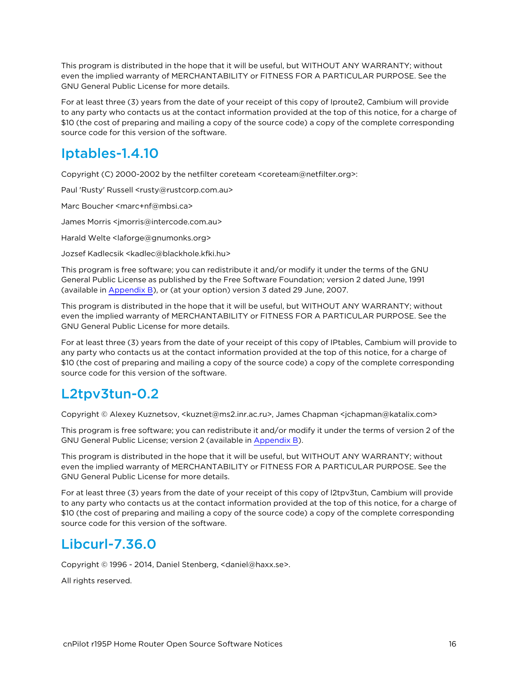This program is distributed in the hope that it will be useful, but WITHOUT ANY WARRANTY; without even the implied warranty of MERCHANTABILITY or FITNESS FOR A PARTICULAR PURPOSE. See the GNU General Public License for more details.

For at least three (3) years from the date of your receipt of this copy of Iproute2, Cambium will provide to any party who contacts us at the contact information provided at the top of this notice, for a charge of \$10 (the cost of preparing and mailing a copy of the source code) a copy of the complete corresponding source code for this version of the software.

## <span id="page-15-0"></span>Iptables-1.4.10

Copyright (C) 2000-2002 by the netfilter coreteam <coreteam@netfilter.org>:

Paul 'Rusty' Russell <rusty@rustcorp.com.au>

Marc Boucher <marc+nf@mbsi.ca>

James Morris <jmorris@intercode.com.au>

Harald Welte <laforge@gnumonks.org>

Jozsef Kadlecsik <kadlec@blackhole.kfki.hu>

This program is free software; you can redistribute it and/or modify it under the terms of the GNU General Public License as published by the Free Software Foundation; version 2 dated June, 1991 (available in [Appendix](#page-38-0) B), or (at your option) version 3 dated 29 June, 2007.

This program is distributed in the hope that it will be useful, but WITHOUT ANY WARRANTY; without even the implied warranty of MERCHANTABILITY or FITNESS FOR A PARTICULAR PURPOSE. See the GNU General Public License for more details.

For at least three (3) years from the date of your receipt of this copy of IPtables, Cambium will provide to any party who contacts us at the contact information provided at the top of this notice, for a charge of \$10 (the cost of preparing and mailing a copy of the source code) a copy of the complete corresponding source code for this version of the software.

## <span id="page-15-1"></span>L2tpv3tun-0.2

Copyright © Alexey Kuznetsov, <kuznet@ms2.inr.ac.ru>, James Chapman <jchapman@katalix.com>

This program is free software; you can redistribute it and/or modify it under the terms of version 2 of the GNU General Public License; version 2 (available in [Appendix](#page-38-0) B).

This program is distributed in the hope that it will be useful, but WITHOUT ANY WARRANTY; without even the implied warranty of MERCHANTABILITY or FITNESS FOR A PARTICULAR PURPOSE. See the GNU General Public License for more details.

For at least three (3) years from the date of your receipt of this copy of l2tpv3tun, Cambium will provide to any party who contacts us at the contact information provided at the top of this notice, for a charge of \$10 (the cost of preparing and mailing a copy of the source code) a copy of the complete corresponding source code for this version of the software.

## <span id="page-15-2"></span>Libcurl-7.36.0

Copyright © 1996 - 2014, Daniel Stenberg, <daniel@haxx.se>.

All rights reserved.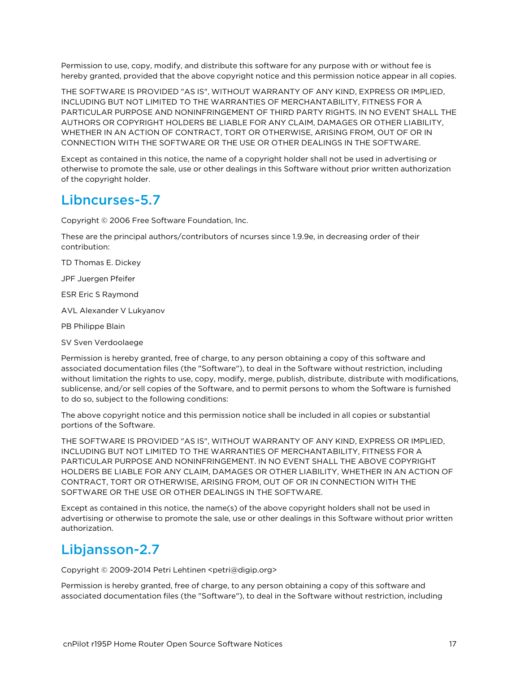Permission to use, copy, modify, and distribute this software for any purpose with or without fee is hereby granted, provided that the above copyright notice and this permission notice appear in all copies.

THE SOFTWARE IS PROVIDED "AS IS", WITHOUT WARRANTY OF ANY KIND, EXPRESS OR IMPLIED, INCLUDING BUT NOT LIMITED TO THE WARRANTIES OF MERCHANTABILITY, FITNESS FOR A PARTICULAR PURPOSE AND NONINFRINGEMENT OF THIRD PARTY RIGHTS. IN NO EVENT SHALL THE AUTHORS OR COPYRIGHT HOLDERS BE LIABLE FOR ANY CLAIM, DAMAGES OR OTHER LIABILITY, WHETHER IN AN ACTION OF CONTRACT, TORT OR OTHERWISE, ARISING FROM, OUT OF OR IN CONNECTION WITH THE SOFTWARE OR THE USE OR OTHER DEALINGS IN THE SOFTWARE.

Except as contained in this notice, the name of a copyright holder shall not be used in advertising or otherwise to promote the sale, use or other dealings in this Software without prior written authorization of the copyright holder.

## <span id="page-16-0"></span>Libncurses-5.7

Copyright © 2006 Free Software Foundation, Inc.

These are the principal authors/contributors of ncurses since 1.9.9e, in decreasing order of their contribution:

TD Thomas E. Dickey

JPF Juergen Pfeifer

ESR Eric S Raymond

AVL Alexander V Lukyanov

PB Philippe Blain

SV Sven Verdoolaege

Permission is hereby granted, free of charge, to any person obtaining a copy of this software and associated documentation files (the "Software"), to deal in the Software without restriction, including without limitation the rights to use, copy, modify, merge, publish, distribute, distribute with modifications, sublicense, and/or sell copies of the Software, and to permit persons to whom the Software is furnished to do so, subject to the following conditions:

The above copyright notice and this permission notice shall be included in all copies or substantial portions of the Software.

THE SOFTWARE IS PROVIDED "AS IS", WITHOUT WARRANTY OF ANY KIND, EXPRESS OR IMPLIED, INCLUDING BUT NOT LIMITED TO THE WARRANTIES OF MERCHANTABILITY, FITNESS FOR A PARTICULAR PURPOSE AND NONINFRINGEMENT. IN NO EVENT SHALL THE ABOVE COPYRIGHT HOLDERS BE LIABLE FOR ANY CLAIM, DAMAGES OR OTHER LIABILITY, WHETHER IN AN ACTION OF CONTRACT, TORT OR OTHERWISE, ARISING FROM, OUT OF OR IN CONNECTION WITH THE SOFTWARE OR THE USE OR OTHER DEALINGS IN THE SOFTWARE.

Except as contained in this notice, the name(s) of the above copyright holders shall not be used in advertising or otherwise to promote the sale, use or other dealings in this Software without prior written authorization.

## <span id="page-16-1"></span>Libjansson-2.7

Copyright © 2009-2014 Petri Lehtinen <petri@digip.org>

Permission is hereby granted, free of charge, to any person obtaining a copy of this software and associated documentation files (the "Software"), to deal in the Software without restriction, including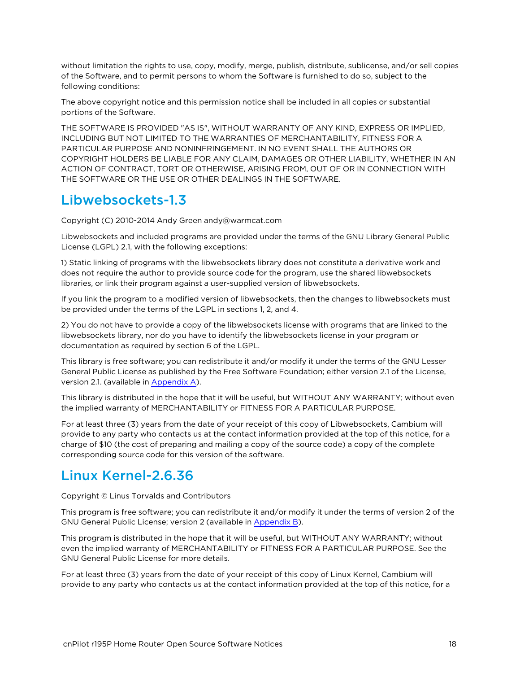without limitation the rights to use, copy, modify, merge, publish, distribute, sublicense, and/or sell copies of the Software, and to permit persons to whom the Software is furnished to do so, subject to the following conditions:

The above copyright notice and this permission notice shall be included in all copies or substantial portions of the Software.

THE SOFTWARE IS PROVIDED "AS IS", WITHOUT WARRANTY OF ANY KIND, EXPRESS OR IMPLIED, INCLUDING BUT NOT LIMITED TO THE WARRANTIES OF MERCHANTABILITY, FITNESS FOR A PARTICULAR PURPOSE AND NONINFRINGEMENT. IN NO EVENT SHALL THE AUTHORS OR COPYRIGHT HOLDERS BE LIABLE FOR ANY CLAIM, DAMAGES OR OTHER LIABILITY, WHETHER IN AN ACTION OF CONTRACT, TORT OR OTHERWISE, ARISING FROM, OUT OF OR IN CONNECTION WITH THE SOFTWARE OR THE USE OR OTHER DEALINGS IN THE SOFTWARE.

### <span id="page-17-0"></span>Libwebsockets-1.3

Copyright (C) 2010-2014 Andy Green andy@warmcat.com

Libwebsockets and included programs are provided under the terms of the GNU Library General Public License (LGPL) 2.1, with the following exceptions:

1) Static linking of programs with the libwebsockets library does not constitute a derivative work and does not require the author to provide source code for the program, use the shared libwebsockets libraries, or link their program against a user-supplied version of libwebsockets.

If you link the program to a modified version of libwebsockets, then the changes to libwebsockets must be provided under the terms of the LGPL in sections 1, 2, and 4.

2) You do not have to provide a copy of the libwebsockets license with programs that are linked to the libwebsockets library, nor do you have to identify the libwebsockets license in your program or documentation as required by section 6 of the LGPL.

This library is free software; you can redistribute it and/or modify it under the terms of the GNU Lesser General Public License as published by the Free Software Foundation; either version 2.1 of the License, version 2.1. (available in [Appendix](#page-31-0) A).

This library is distributed in the hope that it will be useful, but WITHOUT ANY WARRANTY; without even the implied warranty of MERCHANTABILITY or FITNESS FOR A PARTICULAR PURPOSE.

For at least three (3) years from the date of your receipt of this copy of Libwebsockets, Cambium will provide to any party who contacts us at the contact information provided at the top of this notice, for a charge of \$10 (the cost of preparing and mailing a copy of the source code) a copy of the complete corresponding source code for this version of the software.

## <span id="page-17-1"></span>Linux Kernel-2.6.36

Copyright © Linus Torvalds and Contributors

This program is free software; you can redistribute it and/or modify it under the terms of version 2 of the GNU General Public License; version 2 (available in [Appendix](#page-38-0) B).

This program is distributed in the hope that it will be useful, but WITHOUT ANY WARRANTY; without even the implied warranty of MERCHANTABILITY or FITNESS FOR A PARTICULAR PURPOSE. See the GNU General Public License for more details.

For at least three (3) years from the date of your receipt of this copy of Linux Kernel, Cambium will provide to any party who contacts us at the contact information provided at the top of this notice, for a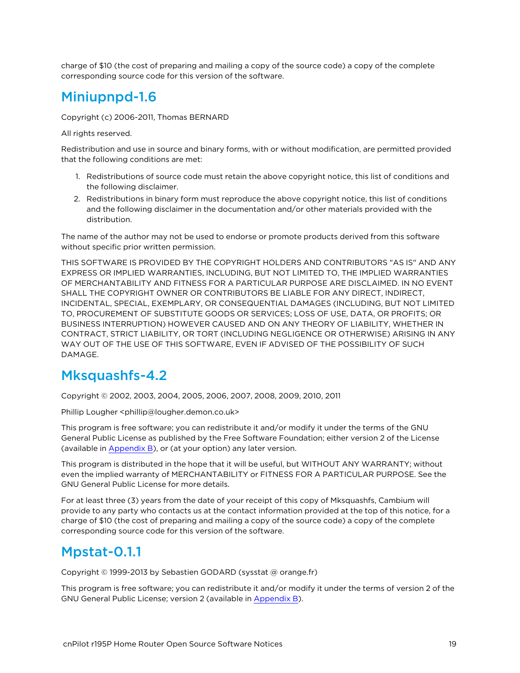<span id="page-18-0"></span>charge of \$10 (the cost of preparing and mailing a copy of the source code) a copy of the complete corresponding source code for this version of the software.

## Miniupnpd-1.6

Copyright (c) 2006-2011, Thomas BERNARD

All rights reserved.

Redistribution and use in source and binary forms, with or without modification, are permitted provided that the following conditions are met:

- 1. Redistributions of source code must retain the above copyright notice, this list of conditions and the following disclaimer.
- 2. Redistributions in binary form must reproduce the above copyright notice, this list of conditions and the following disclaimer in the documentation and/or other materials provided with the distribution.

The name of the author may not be used to endorse or promote products derived from this software without specific prior written permission.

THIS SOFTWARE IS PROVIDED BY THE COPYRIGHT HOLDERS AND CONTRIBUTORS "AS IS" AND ANY EXPRESS OR IMPLIED WARRANTIES, INCLUDING, BUT NOT LIMITED TO, THE IMPLIED WARRANTIES OF MERCHANTABILITY AND FITNESS FOR A PARTICULAR PURPOSE ARE DISCLAIMED. IN NO EVENT SHALL THE COPYRIGHT OWNER OR CONTRIBUTORS BE LIABLE FOR ANY DIRECT, INDIRECT, INCIDENTAL, SPECIAL, EXEMPLARY, OR CONSEQUENTIAL DAMAGES (INCLUDING, BUT NOT LIMITED TO, PROCUREMENT OF SUBSTITUTE GOODS OR SERVICES; LOSS OF USE, DATA, OR PROFITS; OR BUSINESS INTERRUPTION) HOWEVER CAUSED AND ON ANY THEORY OF LIABILITY, WHETHER IN CONTRACT, STRICT LIABILITY, OR TORT (INCLUDING NEGLIGENCE OR OTHERWISE) ARISING IN ANY WAY OUT OF THE USE OF THIS SOFTWARE, EVEN IF ADVISED OF THE POSSIBILITY OF SUCH DAMAGE.

### <span id="page-18-1"></span>Mksquashfs-4.2

Copyright © 2002, 2003, 2004, 2005, 2006, 2007, 2008, 2009, 2010, 2011

Phillip Lougher <phillip@lougher.demon.co.uk>

This program is free software; you can redistribute it and/or modify it under the terms of the GNU General Public License as published by the Free Software Foundation; either version 2 of the License (available in [Appendix](#page-38-0) B), or (at your option) any later version.

This program is distributed in the hope that it will be useful, but WITHOUT ANY WARRANTY; without even the implied warranty of MERCHANTABILITY or FITNESS FOR A PARTICULAR PURPOSE. See the GNU General Public License for more details.

For at least three (3) years from the date of your receipt of this copy of Mksquashfs, Cambium will provide to any party who contacts us at the contact information provided at the top of this notice, for a charge of \$10 (the cost of preparing and mailing a copy of the source code) a copy of the complete corresponding source code for this version of the software.

## <span id="page-18-2"></span>Mpstat-0.1.1

Copyright © 1999-2013 by Sebastien GODARD (sysstat @ orange.fr)

This program is free software; you can redistribute it and/or modify it under the terms of version 2 of the GNU General Public License; version 2 (available in [Appendix](#page-38-0) B).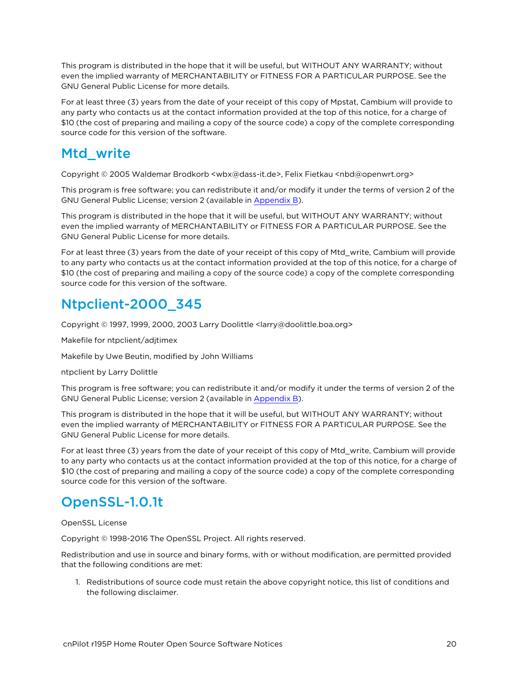This program is distributed in the hope that it will be useful, but WITHOUT ANY WARRANTY; without even the implied warranty of MERCHANTABILITY or FITNESS FOR A PARTICULAR PURPOSE. See the GNU General Public License for more details.

For at least three (3) years from the date of your receipt of this copy of Mpstat, Cambium will provide to any party who contacts us at the contact information provided at the top of this notice, for a charge of \$10 (the cost of preparing and mailing a copy of the source code) a copy of the complete corresponding source code for this version of the software.

## <span id="page-19-0"></span>Mtd\_write

Copyright © 2005 Waldemar Brodkorb <wbx@dass-it.de>, Felix Fietkau <nbd@openwrt.org>

This program is free software; you can redistribute it and/or modify it under the terms of version 2 of the GNU General Public License; version 2 (available in [Appendix](#page-38-0) B).

This program is distributed in the hope that it will be useful, but WITHOUT ANY WARRANTY; without even the implied warranty of MERCHANTABILITY or FITNESS FOR A PARTICULAR PURPOSE. See the GNU General Public License for more details.

For at least three (3) years from the date of your receipt of this copy of Mtd\_write, Cambium will provide to any party who contacts us at the contact information provided at the top of this notice, for a charge of \$10 (the cost of preparing and mailing a copy of the source code) a copy of the complete corresponding source code for this version of the software.

## <span id="page-19-1"></span>Ntpclient-2000\_345

Copyright © 1997, 1999, 2000, 2003 Larry Doolittle <larry@doolittle.boa.org>

Makefile for ntpclient/adjtimex

Makefile by Uwe Beutin, modified by John Williams

ntpclient by Larry Dolittle

This program is free software; you can redistribute it and/or modify it under the terms of version 2 of the GNU General Public License; version 2 (available in [Appendix](#page-38-0) B).

This program is distributed in the hope that it will be useful, but WITHOUT ANY WARRANTY; without even the implied warranty of MERCHANTABILITY or FITNESS FOR A PARTICULAR PURPOSE. See the GNU General Public License for more details.

For at least three (3) years from the date of your receipt of this copy of Mtd\_write, Cambium will provide to any party who contacts us at the contact information provided at the top of this notice, for a charge of \$10 (the cost of preparing and mailing a copy of the source code) a copy of the complete corresponding source code for this version of the software.

## <span id="page-19-2"></span>OpenSSL-1.0.1t

OpenSSL License

Copyright © 1998-2016 The OpenSSL Project. All rights reserved.

Redistribution and use in source and binary forms, with or without modification, are permitted provided that the following conditions are met:

1. Redistributions of source code must retain the above copyright notice, this list of conditions and the following disclaimer.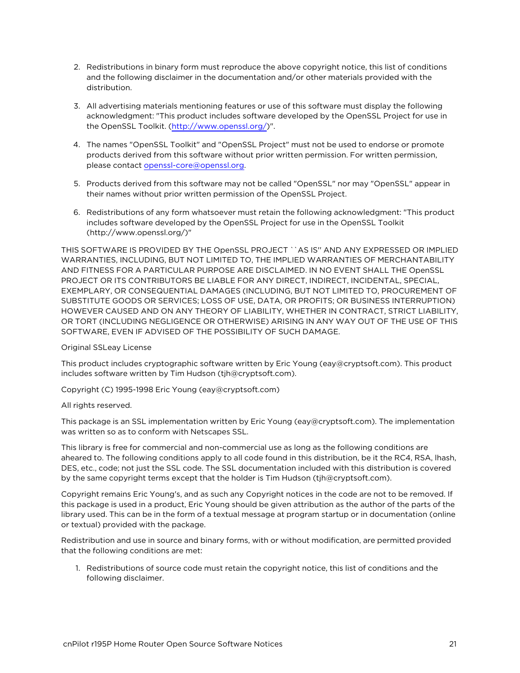- 2. Redistributions in binary form must reproduce the above copyright notice, this list of conditions and the following disclaimer in the documentation and/or other materials provided with the distribution.
- 3. All advertising materials mentioning features or use of this software must display the following acknowledgment: "This product includes software developed by the OpenSSL Project for use in the OpenSSL Toolkit. [\(http://www.openssl.org/](http://www.openssl.org/))".
- 4. The names "OpenSSL Toolkit" and "OpenSSL Project" must not be used to endorse or promote products derived from this software without prior written permission. For written permission, please contact [openssl-core@openssl.org.](mailto:openssl-core@openssl.org)
- 5. Products derived from this software may not be called "OpenSSL" nor may "OpenSSL" appear in their names without prior written permission of the OpenSSL Project.
- 6. Redistributions of any form whatsoever must retain the following acknowledgment: "This product includes software developed by the OpenSSL Project for use in the OpenSSL Toolkit (http://www.openssl.org/)"

THIS SOFTWARE IS PROVIDED BY THE OpenSSL PROJECT ``AS IS'' AND ANY EXPRESSED OR IMPLIED WARRANTIES, INCLUDING, BUT NOT LIMITED TO, THE IMPLIED WARRANTIES OF MERCHANTABILITY AND FITNESS FOR A PARTICULAR PURPOSE ARE DISCLAIMED. IN NO EVENT SHALL THE OpenSSL PROJECT OR ITS CONTRIBUTORS BE LIABLE FOR ANY DIRECT, INDIRECT, INCIDENTAL, SPECIAL, EXEMPLARY, OR CONSEQUENTIAL DAMAGES (INCLUDING, BUT NOT LIMITED TO, PROCUREMENT OF SUBSTITUTE GOODS OR SERVICES; LOSS OF USE, DATA, OR PROFITS; OR BUSINESS INTERRUPTION) HOWEVER CAUSED AND ON ANY THEORY OF LIABILITY, WHETHER IN CONTRACT, STRICT LIABILITY, OR TORT (INCLUDING NEGLIGENCE OR OTHERWISE) ARISING IN ANY WAY OUT OF THE USE OF THIS SOFTWARE, EVEN IF ADVISED OF THE POSSIBILITY OF SUCH DAMAGE.

#### Original SSLeay License

This product includes cryptographic software written by Eric Young (eay@cryptsoft.com). This product includes software written by Tim Hudson (tjh@cryptsoft.com).

Copyright (C) 1995-1998 Eric Young (eay@cryptsoft.com)

#### All rights reserved.

This package is an SSL implementation written by Eric Young (eay@cryptsoft.com). The implementation was written so as to conform with Netscapes SSL.

This library is free for commercial and non-commercial use as long as the following conditions are aheared to. The following conditions apply to all code found in this distribution, be it the RC4, RSA, lhash, DES, etc., code; not just the SSL code. The SSL documentation included with this distribution is covered by the same copyright terms except that the holder is Tim Hudson (tjh@cryptsoft.com).

Copyright remains Eric Young's, and as such any Copyright notices in the code are not to be removed. If this package is used in a product, Eric Young should be given attribution as the author of the parts of the library used. This can be in the form of a textual message at program startup or in documentation (online or textual) provided with the package.

Redistribution and use in source and binary forms, with or without modification, are permitted provided that the following conditions are met:

1. Redistributions of source code must retain the copyright notice, this list of conditions and the following disclaimer.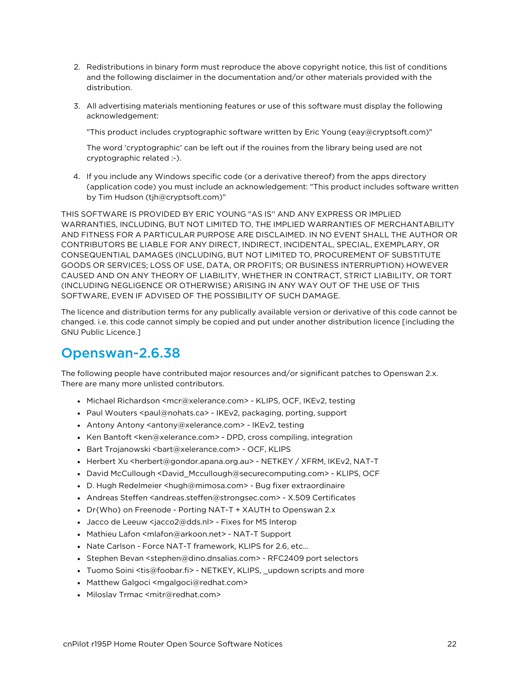- 2. Redistributions in binary form must reproduce the above copyright notice, this list of conditions and the following disclaimer in the documentation and/or other materials provided with the distribution.
- 3. All advertising materials mentioning features or use of this software must display the following acknowledgement:

"This product includes cryptographic software written by Eric Young (eay@cryptsoft.com)"

The word 'cryptographic' can be left out if the rouines from the library being used are not cryptographic related :-).

4. If you include any Windows specific code (or a derivative thereof) from the apps directory (application code) you must include an acknowledgement: "This product includes software written by Tim Hudson (tjh@cryptsoft.com)"

THIS SOFTWARE IS PROVIDED BY ERIC YOUNG "AS IS'' AND ANY EXPRESS OR IMPLIED WARRANTIES, INCLUDING, BUT NOT LIMITED TO, THE IMPLIED WARRANTIES OF MERCHANTABILITY AND FITNESS FOR A PARTICULAR PURPOSE ARE DISCLAIMED. IN NO EVENT SHALL THE AUTHOR OR CONTRIBUTORS BE LIABLE FOR ANY DIRECT, INDIRECT, INCIDENTAL, SPECIAL, EXEMPLARY, OR CONSEQUENTIAL DAMAGES (INCLUDING, BUT NOT LIMITED TO, PROCUREMENT OF SUBSTITUTE GOODS OR SERVICES; LOSS OF USE, DATA, OR PROFITS; OR BUSINESS INTERRUPTION) HOWEVER CAUSED AND ON ANY THEORY OF LIABILITY, WHETHER IN CONTRACT, STRICT LIABILITY, OR TORT (INCLUDING NEGLIGENCE OR OTHERWISE) ARISING IN ANY WAY OUT OF THE USE OF THIS SOFTWARE, EVEN IF ADVISED OF THE POSSIBILITY OF SUCH DAMAGE.

The licence and distribution terms for any publically available version or derivative of this code cannot be changed. i.e. this code cannot simply be copied and put under another distribution licence [including the GNU Public Licence.]

## <span id="page-21-0"></span>Openswan-2.6.38

The following people have contributed major resources and/or significant patches to Openswan 2.x. There are many more unlisted contributors.

- Michael Richardson <mcr@xelerance.com> KLIPS, OCF, IKEv2, testing
- Paul Wouters <paul@nohats.ca> IKEv2, packaging, porting, support
- Antony Antony <antony@xelerance.com> IKEv2, testing
- Ken Bantoft <ken@xelerance.com> DPD, cross compiling, integration
- Bart Trojanowski <br/>bart@xelerance.com> OCF, KLIPS
- Herbert Xu <herbert@gondor.apana.org.au> NETKEY / XFRM, IKEv2, NAT-T
- <sup>l</sup> David McCullough <David\_Mccullough@securecomputing.com> KLIPS, OCF
- D. Hugh Redelmeier <hugh@mimosa.com> Bug fixer extraordinaire
- Andreas Steffen <andreas.steffen@strongsec.com> X.509 Certificates
- Dr{Who} on Freenode Porting NAT-T + XAUTH to Openswan 2.x
- Jacco de Leeuw <jacco2@dds.nl> Fixes for MS Interop
- Mathieu Lafon <mlafon@arkoon.net> NAT-T Support
- Nate Carlson Force NAT-T framework, KLIPS for 2.6, etc...
- Stephen Bevan <stephen@dino.dnsalias.com> RFC2409 port selectors
- Tuomo Soini <tis@foobar.fi> NETKEY, KLIPS, \_updown scripts and more
- Matthew Galgoci <mgalgoci@redhat.com>
- Miloslav Trmac <mitr@redhat.com>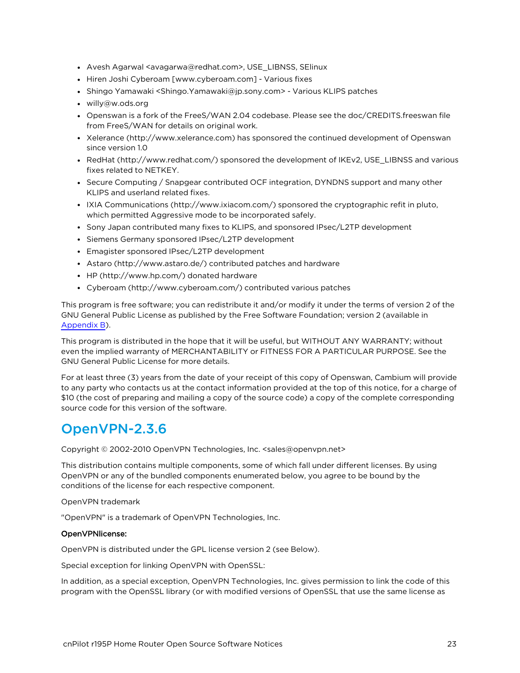- Avesh Agarwal <avagarwa@redhat.com>, USE\_LIBNSS, SElinux
- Hiren Joshi Cyberoam [www.cyberoam.com] Various fixes
- <sup>l</sup> Shingo Yamawaki <Shingo.Yamawaki@jp.sony.com> Various KLIPS patches
- willy@w.ods.org
- Openswan is a fork of the FreeS/WAN 2.04 codebase. Please see the doc/CREDITS.freeswan file from FreeS/WAN for details on original work.
- Xelerance (http://www.xelerance.com) has sponsored the continued development of Openswan since version 1.0
- RedHat (http://www.redhat.com/) sponsored the development of IKEv2, USE\_LIBNSS and various fixes related to NETKEY.
- Secure Computing / Snapgear contributed OCF integration, DYNDNS support and many other KLIPS and userland related fixes.
- <sup>l</sup> IXIA Communications (http://www.ixiacom.com/) sponsored the cryptographic refit in pluto, which permitted Aggressive mode to be incorporated safely.
- Sony Japan contributed many fixes to KLIPS, and sponsored IPsec/L2TP development
- Siemens Germany sponsored IPsec/L2TP development
- Emagister sponsored IPsec/L2TP development
- Astaro (http://www.astaro.de/) contributed patches and hardware
- HP (http://www.hp.com/) donated hardware
- Cyberoam (http://www.cyberoam.com/) contributed various patches

This program is free software; you can redistribute it and/or modify it under the terms of version 2 of the GNU General Public License as published by the Free Software Foundation; version 2 (available in [Appendix](#page-38-0) B).

This program is distributed in the hope that it will be useful, but WITHOUT ANY WARRANTY; without even the implied warranty of MERCHANTABILITY or FITNESS FOR A PARTICULAR PURPOSE. See the GNU General Public License for more details.

For at least three (3) years from the date of your receipt of this copy of Openswan, Cambium will provide to any party who contacts us at the contact information provided at the top of this notice, for a charge of \$10 (the cost of preparing and mailing a copy of the source code) a copy of the complete corresponding source code for this version of the software.

### <span id="page-22-0"></span>OpenVPN-2.3.6

Copyright © 2002-2010 OpenVPN Technologies, Inc. <sales@openvpn.net>

This distribution contains multiple components, some of which fall under different licenses. By using OpenVPN or any of the bundled components enumerated below, you agree to be bound by the conditions of the license for each respective component.

OpenVPN trademark

"OpenVPN" is a trademark of OpenVPN Technologies, Inc.

#### OpenVPNlicense:

OpenVPN is distributed under the GPL license version 2 (see Below).

Special exception for linking OpenVPN with OpenSSL:

In addition, as a special exception, OpenVPN Technologies, Inc. gives permission to link the code of this program with the OpenSSL library (or with modified versions of OpenSSL that use the same license as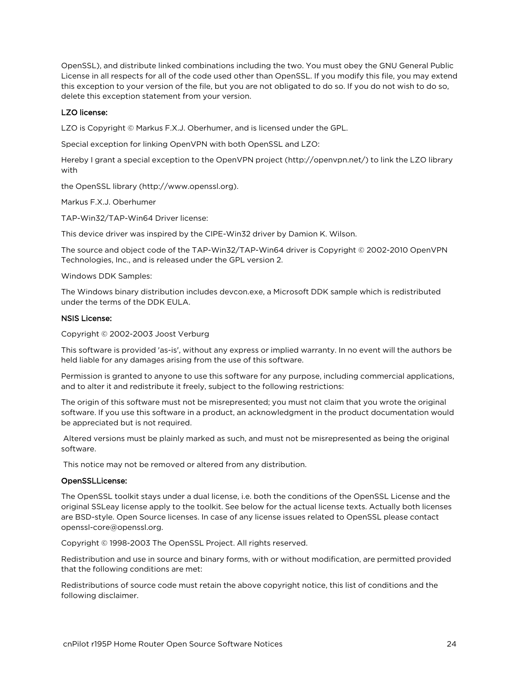OpenSSL), and distribute linked combinations including the two. You must obey the GNU General Public License in all respects for all of the code used other than OpenSSL. If you modify this file, you may extend this exception to your version of the file, but you are not obligated to do so. If you do not wish to do so, delete this exception statement from your version.

#### LZO license:

LZO is Copyright © Markus F.X.J. Oberhumer, and is licensed under the GPL.

Special exception for linking OpenVPN with both OpenSSL and LZO:

Hereby I grant a special exception to the OpenVPN project (http://openvpn.net/) to link the LZO library with

the OpenSSL library (http://www.openssl.org).

Markus F.X.J. Oberhumer

TAP-Win32/TAP-Win64 Driver license:

This device driver was inspired by the CIPE-Win32 driver by Damion K. Wilson.

The source and object code of the TAP-Win32/TAP-Win64 driver is Copyright © 2002-2010 OpenVPN Technologies, Inc., and is released under the GPL version 2.

#### Windows DDK Samples:

The Windows binary distribution includes devcon.exe, a Microsoft DDK sample which is redistributed under the terms of the DDK EULA.

#### NSIS License:

Copyright © 2002-2003 Joost Verburg

This software is provided 'as-is', without any express or implied warranty. In no event will the authors be held liable for any damages arising from the use of this software.

Permission is granted to anyone to use this software for any purpose, including commercial applications, and to alter it and redistribute it freely, subject to the following restrictions:

The origin of this software must not be misrepresented; you must not claim that you wrote the original software. If you use this software in a product, an acknowledgment in the product documentation would be appreciated but is not required.

 Altered versions must be plainly marked as such, and must not be misrepresented as being the original software.

This notice may not be removed or altered from any distribution.

#### OpenSSLLicense:

The OpenSSL toolkit stays under a dual license, i.e. both the conditions of the OpenSSL License and the original SSLeay license apply to the toolkit. See below for the actual license texts. Actually both licenses are BSD-style. Open Source licenses. In case of any license issues related to OpenSSL please contact openssl-core@openssl.org.

Copyright © 1998-2003 The OpenSSL Project. All rights reserved.

Redistribution and use in source and binary forms, with or without modification, are permitted provided that the following conditions are met:

Redistributions of source code must retain the above copyright notice, this list of conditions and the following disclaimer.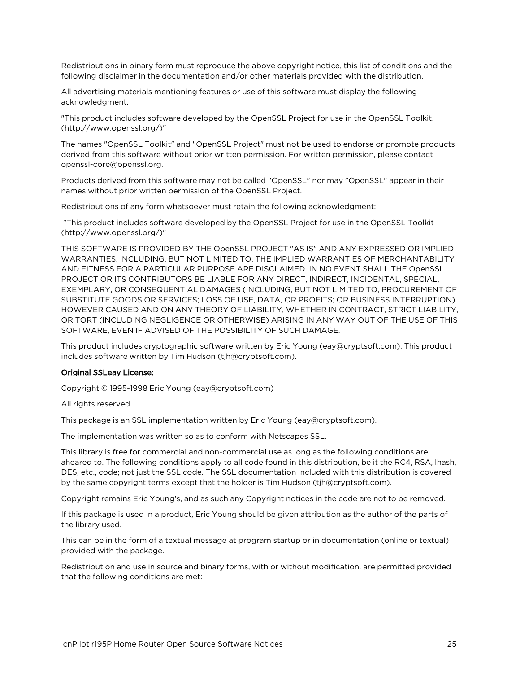Redistributions in binary form must reproduce the above copyright notice, this list of conditions and the following disclaimer in the documentation and/or other materials provided with the distribution.

All advertising materials mentioning features or use of this software must display the following acknowledgment:

"This product includes software developed by the OpenSSL Project for use in the OpenSSL Toolkit. (http://www.openssl.org/)"

The names "OpenSSL Toolkit" and "OpenSSL Project" must not be used to endorse or promote products derived from this software without prior written permission. For written permission, please contact openssl-core@openssl.org.

Products derived from this software may not be called "OpenSSL" nor may "OpenSSL" appear in their names without prior written permission of the OpenSSL Project.

Redistributions of any form whatsoever must retain the following acknowledgment:

 "This product includes software developed by the OpenSSL Project for use in the OpenSSL Toolkit (http://www.openssl.org/)"

THIS SOFTWARE IS PROVIDED BY THE OpenSSL PROJECT "AS IS" AND ANY EXPRESSED OR IMPLIED WARRANTIES, INCLUDING, BUT NOT LIMITED TO, THE IMPLIED WARRANTIES OF MERCHANTABILITY AND FITNESS FOR A PARTICULAR PURPOSE ARE DISCLAIMED. IN NO EVENT SHALL THE OpenSSL PROJECT OR ITS CONTRIBUTORS BE LIABLE FOR ANY DIRECT, INDIRECT, INCIDENTAL, SPECIAL, EXEMPLARY, OR CONSEQUENTIAL DAMAGES (INCLUDING, BUT NOT LIMITED TO, PROCUREMENT OF SUBSTITUTE GOODS OR SERVICES; LOSS OF USE, DATA, OR PROFITS; OR BUSINESS INTERRUPTION) HOWEVER CAUSED AND ON ANY THEORY OF LIABILITY, WHETHER IN CONTRACT, STRICT LIABILITY, OR TORT (INCLUDING NEGLIGENCE OR OTHERWISE) ARISING IN ANY WAY OUT OF THE USE OF THIS SOFTWARE, EVEN IF ADVISED OF THE POSSIBILITY OF SUCH DAMAGE.

This product includes cryptographic software written by Eric Young (eay@cryptsoft.com). This product includes software written by Tim Hudson (tjh@cryptsoft.com).

#### Original SSLeay License:

Copyright © 1995-1998 Eric Young (eay@cryptsoft.com)

All rights reserved.

This package is an SSL implementation written by Eric Young (eay@cryptsoft.com).

The implementation was written so as to conform with Netscapes SSL.

This library is free for commercial and non-commercial use as long as the following conditions are aheared to. The following conditions apply to all code found in this distribution, be it the RC4, RSA, lhash, DES, etc., code; not just the SSL code. The SSL documentation included with this distribution is covered by the same copyright terms except that the holder is Tim Hudson (tjh@cryptsoft.com).

Copyright remains Eric Young's, and as such any Copyright notices in the code are not to be removed.

If this package is used in a product, Eric Young should be given attribution as the author of the parts of the library used.

This can be in the form of a textual message at program startup or in documentation (online or textual) provided with the package.

Redistribution and use in source and binary forms, with or without modification, are permitted provided that the following conditions are met: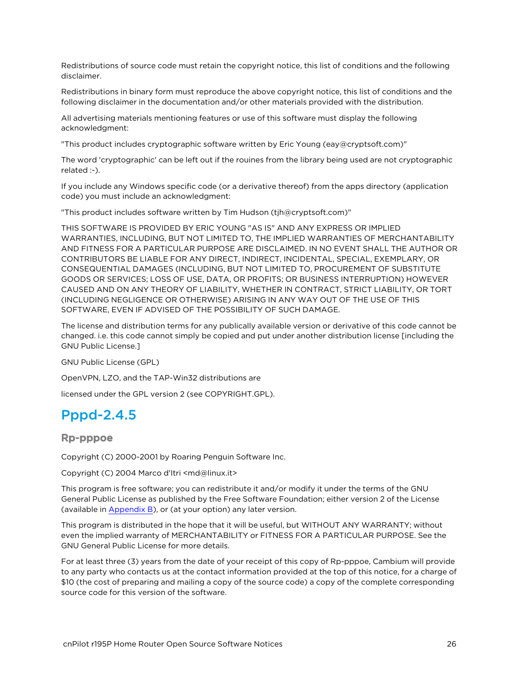Redistributions of source code must retain the copyright notice, this list of conditions and the following disclaimer.

Redistributions in binary form must reproduce the above copyright notice, this list of conditions and the following disclaimer in the documentation and/or other materials provided with the distribution.

All advertising materials mentioning features or use of this software must display the following acknowledgment:

"This product includes cryptographic software written by Eric Young (eay@cryptsoft.com)"

The word 'cryptographic' can be left out if the rouines from the library being used are not cryptographic related :-).

If you include any Windows specific code (or a derivative thereof) from the apps directory (application code) you must include an acknowledgment:

"This product includes software written by Tim Hudson (tjh@cryptsoft.com)"

THIS SOFTWARE IS PROVIDED BY ERIC YOUNG "AS IS" AND ANY EXPRESS OR IMPLIED WARRANTIES, INCLUDING, BUT NOT LIMITED TO, THE IMPLIED WARRANTIES OF MERCHANTABILITY AND FITNESS FOR A PARTICULAR PURPOSE ARE DISCLAIMED. IN NO EVENT SHALL THE AUTHOR OR CONTRIBUTORS BE LIABLE FOR ANY DIRECT, INDIRECT, INCIDENTAL, SPECIAL, EXEMPLARY, OR CONSEQUENTIAL DAMAGES (INCLUDING, BUT NOT LIMITED TO, PROCUREMENT OF SUBSTITUTE GOODS OR SERVICES; LOSS OF USE, DATA, OR PROFITS; OR BUSINESS INTERRUPTION) HOWEVER CAUSED AND ON ANY THEORY OF LIABILITY, WHETHER IN CONTRACT, STRICT LIABILITY, OR TORT (INCLUDING NEGLIGENCE OR OTHERWISE) ARISING IN ANY WAY OUT OF THE USE OF THIS SOFTWARE, EVEN IF ADVISED OF THE POSSIBILITY OF SUCH DAMAGE.

The license and distribution terms for any publically available version or derivative of this code cannot be changed. i.e. this code cannot simply be copied and put under another distribution license [including the GNU Public License.]

GNU Public License (GPL)

OpenVPN, LZO, and the TAP-Win32 distributions are

<span id="page-25-0"></span>licensed under the GPL version 2 (see COPYRIGHT.GPL).

### Pppd-2.4.5

Rp-pppoe

Copyright (C) 2000-2001 by Roaring Penguin Software Inc.

Copyright (C) 2004 Marco d'Itri <md@linux.it>

This program is free software; you can redistribute it and/or modify it under the terms of the GNU General Public License as published by the Free Software Foundation; either version 2 of the License (available in [Appendix](#page-38-0) B), or (at your option) any later version.

This program is distributed in the hope that it will be useful, but WITHOUT ANY WARRANTY; without even the implied warranty of MERCHANTABILITY or FITNESS FOR A PARTICULAR PURPOSE. See the GNU General Public License for more details.

For at least three (3) years from the date of your receipt of this copy of Rp-pppoe, Cambium will provide to any party who contacts us at the contact information provided at the top of this notice, for a charge of \$10 (the cost of preparing and mailing a copy of the source code) a copy of the complete corresponding source code for this version of the software.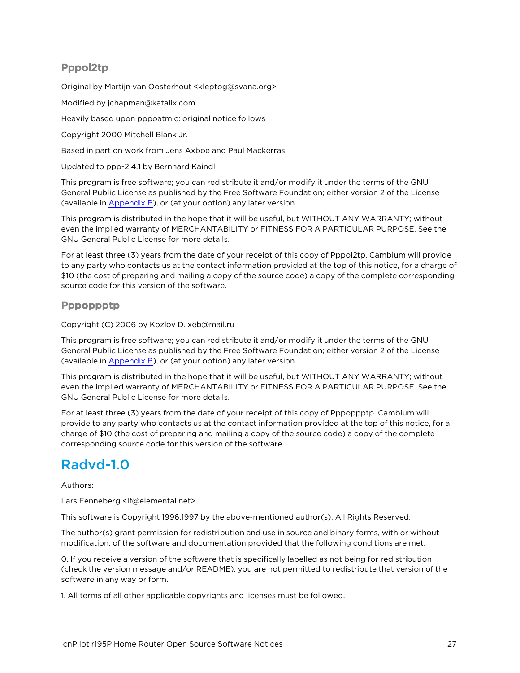#### Pppol2tp

Original by Martijn van Oosterhout <kleptog@svana.org>

Modified by jchapman@katalix.com

Heavily based upon pppoatm.c: original notice follows

Copyright 2000 Mitchell Blank Jr.

Based in part on work from Jens Axboe and Paul Mackerras.

Updated to ppp-2.4.1 by Bernhard Kaindl

This program is free software; you can redistribute it and/or modify it under the terms of the GNU General Public License as published by the Free Software Foundation; either version 2 of the License (available in [Appendix](#page-38-0) B), or (at your option) any later version.

This program is distributed in the hope that it will be useful, but WITHOUT ANY WARRANTY; without even the implied warranty of MERCHANTABILITY or FITNESS FOR A PARTICULAR PURPOSE. See the GNU General Public License for more details.

For at least three (3) years from the date of your receipt of this copy of Pppol2tp, Cambium will provide to any party who contacts us at the contact information provided at the top of this notice, for a charge of \$10 (the cost of preparing and mailing a copy of the source code) a copy of the complete corresponding source code for this version of the software.

#### Pppoppptp

Copyright (C) 2006 by Kozlov D. xeb@mail.ru

This program is free software; you can redistribute it and/or modify it under the terms of the GNU General Public License as published by the Free Software Foundation; either version 2 of the License (available in [Appendix](#page-38-0) B), or (at your option) any later version.

This program is distributed in the hope that it will be useful, but WITHOUT ANY WARRANTY; without even the implied warranty of MERCHANTABILITY or FITNESS FOR A PARTICULAR PURPOSE. See the GNU General Public License for more details.

For at least three (3) years from the date of your receipt of this copy of Pppoppptp, Cambium will provide to any party who contacts us at the contact information provided at the top of this notice, for a charge of \$10 (the cost of preparing and mailing a copy of the source code) a copy of the complete corresponding source code for this version of the software.

## <span id="page-26-0"></span>Radvd-1.0

Authors:

Lars Fenneberg <lf@elemental.net>

This software is Copyright 1996,1997 by the above-mentioned author(s), All Rights Reserved.

The author(s) grant permission for redistribution and use in source and binary forms, with or without modification, of the software and documentation provided that the following conditions are met:

0. If you receive a version of the software that is specifically labelled as not being for redistribution (check the version message and/or README), you are not permitted to redistribute that version of the software in any way or form.

1. All terms of all other applicable copyrights and licenses must be followed.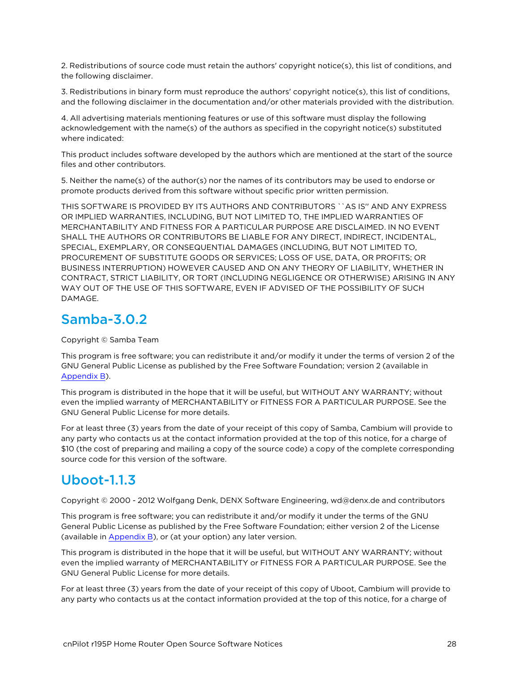2. Redistributions of source code must retain the authors' copyright notice(s), this list of conditions, and the following disclaimer.

3. Redistributions in binary form must reproduce the authors' copyright notice(s), this list of conditions, and the following disclaimer in the documentation and/or other materials provided with the distribution.

4. All advertising materials mentioning features or use of this software must display the following acknowledgement with the name(s) of the authors as specified in the copyright notice(s) substituted where indicated:

This product includes software developed by the authors which are mentioned at the start of the source files and other contributors.

5. Neither the name(s) of the author(s) nor the names of its contributors may be used to endorse or promote products derived from this software without specific prior written permission.

THIS SOFTWARE IS PROVIDED BY ITS AUTHORS AND CONTRIBUTORS ``AS IS'' AND ANY EXPRESS OR IMPLIED WARRANTIES, INCLUDING, BUT NOT LIMITED TO, THE IMPLIED WARRANTIES OF MERCHANTABILITY AND FITNESS FOR A PARTICULAR PURPOSE ARE DISCLAIMED. IN NO EVENT SHALL THE AUTHORS OR CONTRIBUTORS BE LIABLE FOR ANY DIRECT, INDIRECT, INCIDENTAL, SPECIAL, EXEMPLARY, OR CONSEQUENTIAL DAMAGES (INCLUDING, BUT NOT LIMITED TO, PROCUREMENT OF SUBSTITUTE GOODS OR SERVICES; LOSS OF USE, DATA, OR PROFITS; OR BUSINESS INTERRUPTION) HOWEVER CAUSED AND ON ANY THEORY OF LIABILITY, WHETHER IN CONTRACT, STRICT LIABILITY, OR TORT (INCLUDING NEGLIGENCE OR OTHERWISE) ARISING IN ANY WAY OUT OF THE USE OF THIS SOFTWARE, EVEN IF ADVISED OF THE POSSIBILITY OF SUCH DAMAGE.

## <span id="page-27-0"></span>Samba-3.0.2

Copyright © Samba Team

This program is free software; you can redistribute it and/or modify it under the terms of version 2 of the GNU General Public License as published by the Free Software Foundation; version 2 (available in [Appendix](#page-38-0) B).

This program is distributed in the hope that it will be useful, but WITHOUT ANY WARRANTY; without even the implied warranty of MERCHANTABILITY or FITNESS FOR A PARTICULAR PURPOSE. See the GNU General Public License for more details.

For at least three (3) years from the date of your receipt of this copy of Samba, Cambium will provide to any party who contacts us at the contact information provided at the top of this notice, for a charge of \$10 (the cost of preparing and mailing a copy of the source code) a copy of the complete corresponding source code for this version of the software.

## <span id="page-27-1"></span>Uboot-1.1.3

Copyright © 2000 - 2012 Wolfgang Denk, DENX Software Engineering, wd@denx.de and contributors

This program is free software; you can redistribute it and/or modify it under the terms of the GNU General Public License as published by the Free Software Foundation; either version 2 of the License (available in [Appendix](#page-38-0) B), or (at your option) any later version.

This program is distributed in the hope that it will be useful, but WITHOUT ANY WARRANTY; without even the implied warranty of MERCHANTABILITY or FITNESS FOR A PARTICULAR PURPOSE. See the GNU General Public License for more details.

For at least three (3) years from the date of your receipt of this copy of Uboot, Cambium will provide to any party who contacts us at the contact information provided at the top of this notice, for a charge of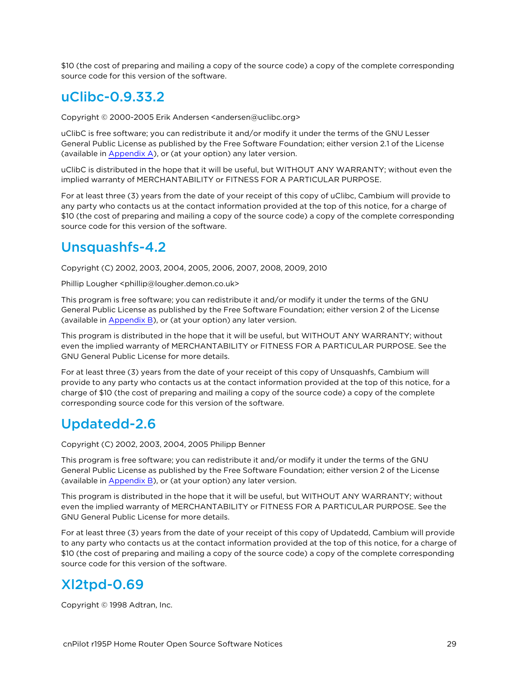<span id="page-28-0"></span>\$10 (the cost of preparing and mailing a copy of the source code) a copy of the complete corresponding source code for this version of the software.

### uClibc-0.9.33.2

Copyright © 2000-2005 Erik Andersen <andersen@uclibc.org>

uClibC is free software; you can redistribute it and/or modify it under the terms of the GNU Lesser General Public License as published by the Free Software Foundation; either version 2.1 of the License (available in [Appendix](#page-31-0) A), or (at your option) any later version.

uClibC is distributed in the hope that it will be useful, but WITHOUT ANY WARRANTY; without even the implied warranty of MERCHANTABILITY or FITNESS FOR A PARTICULAR PURPOSE.

For at least three (3) years from the date of your receipt of this copy of uClibc, Cambium will provide to any party who contacts us at the contact information provided at the top of this notice, for a charge of \$10 (the cost of preparing and mailing a copy of the source code) a copy of the complete corresponding source code for this version of the software.

### <span id="page-28-1"></span>Unsquashfs-4.2

Copyright (C) 2002, 2003, 2004, 2005, 2006, 2007, 2008, 2009, 2010

Phillip Lougher <phillip@lougher.demon.co.uk>

This program is free software; you can redistribute it and/or modify it under the terms of the GNU General Public License as published by the Free Software Foundation; either version 2 of the License (available in [Appendix](#page-38-0) B), or (at your option) any later version.

This program is distributed in the hope that it will be useful, but WITHOUT ANY WARRANTY; without even the implied warranty of MERCHANTABILITY or FITNESS FOR A PARTICULAR PURPOSE. See the GNU General Public License for more details.

For at least three (3) years from the date of your receipt of this copy of Unsquashfs, Cambium will provide to any party who contacts us at the contact information provided at the top of this notice, for a charge of \$10 (the cost of preparing and mailing a copy of the source code) a copy of the complete corresponding source code for this version of the software.

## <span id="page-28-2"></span>Updatedd-2.6

Copyright (C) 2002, 2003, 2004, 2005 Philipp Benner

This program is free software; you can redistribute it and/or modify it under the terms of the GNU General Public License as published by the Free Software Foundation; either version 2 of the License (available in [Appendix](#page-38-0) B), or (at your option) any later version.

This program is distributed in the hope that it will be useful, but WITHOUT ANY WARRANTY; without even the implied warranty of MERCHANTABILITY or FITNESS FOR A PARTICULAR PURPOSE. See the GNU General Public License for more details.

For at least three (3) years from the date of your receipt of this copy of Updatedd, Cambium will provide to any party who contacts us at the contact information provided at the top of this notice, for a charge of \$10 (the cost of preparing and mailing a copy of the source code) a copy of the complete corresponding source code for this version of the software.

## <span id="page-28-3"></span>Xl2tpd-0.69

Copyright © 1998 Adtran, Inc.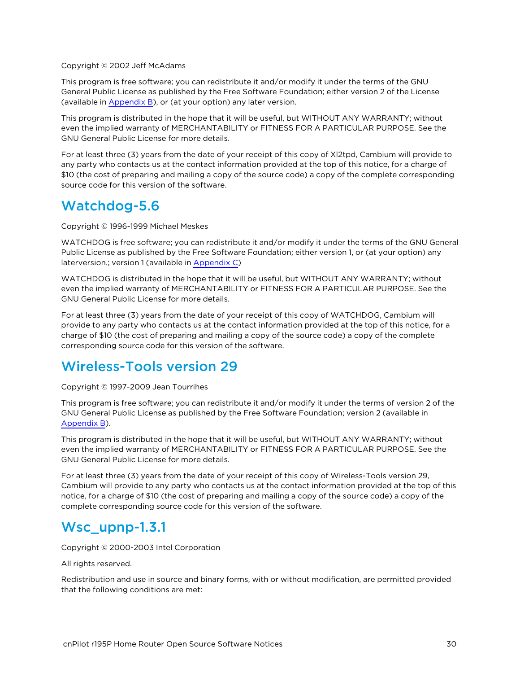Copyright © 2002 Jeff McAdams

This program is free software; you can redistribute it and/or modify it under the terms of the GNU General Public License as published by the Free Software Foundation; either version 2 of the License (available in [Appendix](#page-38-0) B), or (at your option) any later version.

This program is distributed in the hope that it will be useful, but WITHOUT ANY WARRANTY; without even the implied warranty of MERCHANTABILITY or FITNESS FOR A PARTICULAR PURPOSE. See the GNU General Public License for more details.

For at least three (3) years from the date of your receipt of this copy of Xl2tpd, Cambium will provide to any party who contacts us at the contact information provided at the top of this notice, for a charge of \$10 (the cost of preparing and mailing a copy of the source code) a copy of the complete corresponding source code for this version of the software.

### <span id="page-29-0"></span>Watchdog-5.6

Copyright © 1996-1999 Michael Meskes

WATCHDOG is free software; you can redistribute it and/or modify it under the terms of the GNU General Public License as published by the Free Software Foundation; either version 1, or (at your option) any laterversion.; version 1 (available in [Appendix](#page-43-0) C)

WATCHDOG is distributed in the hope that it will be useful, but WITHOUT ANY WARRANTY; without even the implied warranty of MERCHANTABILITY or FITNESS FOR A PARTICULAR PURPOSE. See the GNU General Public License for more details.

For at least three (3) years from the date of your receipt of this copy of WATCHDOG, Cambium will provide to any party who contacts us at the contact information provided at the top of this notice, for a charge of \$10 (the cost of preparing and mailing a copy of the source code) a copy of the complete corresponding source code for this version of the software.

### <span id="page-29-1"></span>Wireless-Tools version 29

Copyright © 1997-2009 Jean Tourrihes

This program is free software; you can redistribute it and/or modify it under the terms of version 2 of the GNU General Public License as published by the Free Software Foundation; version 2 (available in [Appendix](#page-38-0) B).

This program is distributed in the hope that it will be useful, but WITHOUT ANY WARRANTY; without even the implied warranty of MERCHANTABILITY or FITNESS FOR A PARTICULAR PURPOSE. See the GNU General Public License for more details.

For at least three (3) years from the date of your receipt of this copy of Wireless-Tools version 29, Cambium will provide to any party who contacts us at the contact information provided at the top of this notice, for a charge of \$10 (the cost of preparing and mailing a copy of the source code) a copy of the complete corresponding source code for this version of the software.

### <span id="page-29-2"></span>Wsc\_upnp-1.3.1

Copyright © 2000-2003 Intel Corporation

All rights reserved.

Redistribution and use in source and binary forms, with or without modification, are permitted provided that the following conditions are met: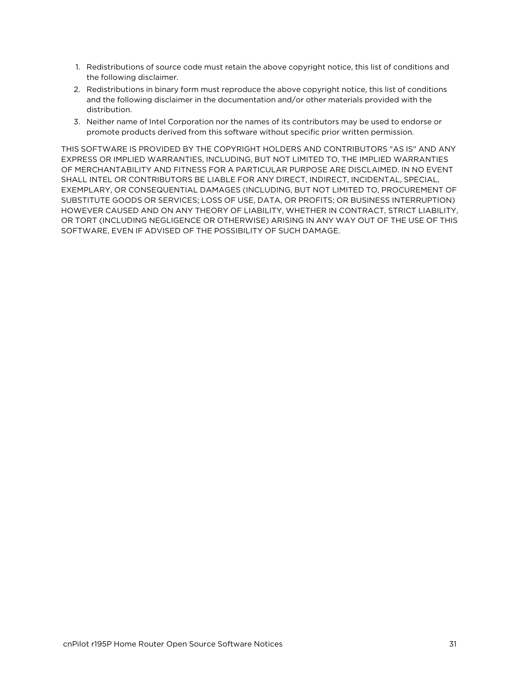- 1. Redistributions of source code must retain the above copyright notice, this list of conditions and the following disclaimer.
- 2. Redistributions in binary form must reproduce the above copyright notice, this list of conditions and the following disclaimer in the documentation and/or other materials provided with the distribution.
- 3. Neither name of Intel Corporation nor the names of its contributors may be used to endorse or promote products derived from this software without specific prior written permission.

THIS SOFTWARE IS PROVIDED BY THE COPYRIGHT HOLDERS AND CONTRIBUTORS "AS IS" AND ANY EXPRESS OR IMPLIED WARRANTIES, INCLUDING, BUT NOT LIMITED TO, THE IMPLIED WARRANTIES OF MERCHANTABILITY AND FITNESS FOR A PARTICULAR PURPOSE ARE DISCLAIMED. IN NO EVENT SHALL INTEL OR CONTRIBUTORS BE LIABLE FOR ANY DIRECT, INDIRECT, INCIDENTAL, SPECIAL, EXEMPLARY, OR CONSEQUENTIAL DAMAGES (INCLUDING, BUT NOT LIMITED TO, PROCUREMENT OF SUBSTITUTE GOODS OR SERVICES; LOSS OF USE, DATA, OR PROFITS; OR BUSINESS INTERRUPTION) HOWEVER CAUSED AND ON ANY THEORY OF LIABILITY, WHETHER IN CONTRACT, STRICT LIABILITY, OR TORT (INCLUDING NEGLIGENCE OR OTHERWISE) ARISING IN ANY WAY OUT OF THE USE OF THIS SOFTWARE, EVEN IF ADVISED OF THE POSSIBILITY OF SUCH DAMAGE.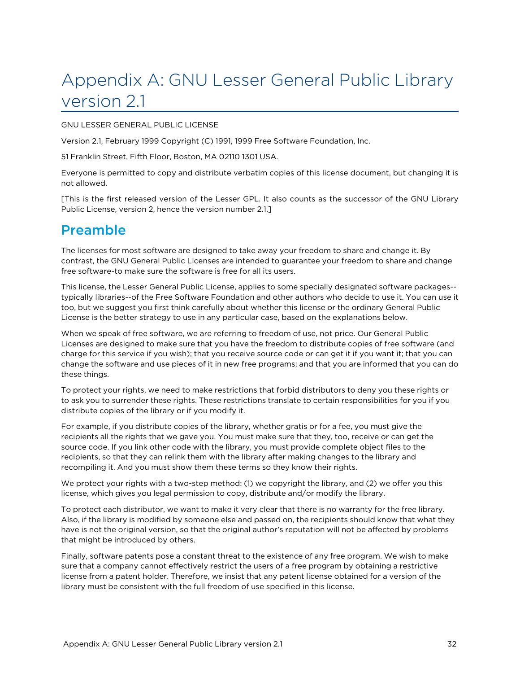# <span id="page-31-0"></span>Appendix A: GNU Lesser General Public Library version 2.1

#### GNU LESSER GENERAL PUBLIC LICENSE

Version 2.1, February 1999 Copyright (C) 1991, 1999 Free Software Foundation, Inc.

51 Franklin Street, Fifth Floor, Boston, MA 02110 1301 USA.

Everyone is permitted to copy and distribute verbatim copies of this license document, but changing it is not allowed.

<span id="page-31-1"></span>[This is the first released version of the Lesser GPL. It also counts as the successor of the GNU Library Public License, version 2, hence the version number 2.1.]

## Preamble

The licenses for most software are designed to take away your freedom to share and change it. By contrast, the GNU General Public Licenses are intended to guarantee your freedom to share and change free software-to make sure the software is free for all its users.

This license, the Lesser General Public License, applies to some specially designated software packages- typically libraries--of the Free Software Foundation and other authors who decide to use it. You can use it too, but we suggest you first think carefully about whether this license or the ordinary General Public License is the better strategy to use in any particular case, based on the explanations below.

When we speak of free software, we are referring to freedom of use, not price. Our General Public Licenses are designed to make sure that you have the freedom to distribute copies of free software (and charge for this service if you wish); that you receive source code or can get it if you want it; that you can change the software and use pieces of it in new free programs; and that you are informed that you can do these things.

To protect your rights, we need to make restrictions that forbid distributors to deny you these rights or to ask you to surrender these rights. These restrictions translate to certain responsibilities for you if you distribute copies of the library or if you modify it.

For example, if you distribute copies of the library, whether gratis or for a fee, you must give the recipients all the rights that we gave you. You must make sure that they, too, receive or can get the source code. If you link other code with the library, you must provide complete object files to the recipients, so that they can relink them with the library after making changes to the library and recompiling it. And you must show them these terms so they know their rights.

We protect your rights with a two-step method: (1) we copyright the library, and (2) we offer you this license, which gives you legal permission to copy, distribute and/or modify the library.

To protect each distributor, we want to make it very clear that there is no warranty for the free library. Also, if the library is modified by someone else and passed on, the recipients should know that what they have is not the original version, so that the original author's reputation will not be affected by problems that might be introduced by others.

Finally, software patents pose a constant threat to the existence of any free program. We wish to make sure that a company cannot effectively restrict the users of a free program by obtaining a restrictive license from a patent holder. Therefore, we insist that any patent license obtained for a version of the library must be consistent with the full freedom of use specified in this license.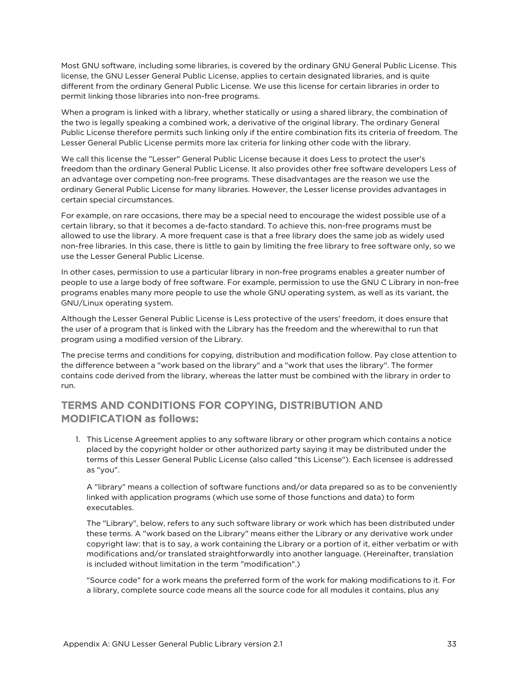Most GNU software, including some libraries, is covered by the ordinary GNU General Public License. This license, the GNU Lesser General Public License, applies to certain designated libraries, and is quite different from the ordinary General Public License. We use this license for certain libraries in order to permit linking those libraries into non-free programs.

When a program is linked with a library, whether statically or using a shared library, the combination of the two is legally speaking a combined work, a derivative of the original library. The ordinary General Public License therefore permits such linking only if the entire combination fits its criteria of freedom. The Lesser General Public License permits more lax criteria for linking other code with the library.

We call this license the "Lesser" General Public License because it does Less to protect the user's freedom than the ordinary General Public License. It also provides other free software developers Less of an advantage over competing non-free programs. These disadvantages are the reason we use the ordinary General Public License for many libraries. However, the Lesser license provides advantages in certain special circumstances.

For example, on rare occasions, there may be a special need to encourage the widest possible use of a certain library, so that it becomes a de-facto standard. To achieve this, non-free programs must be allowed to use the library. A more frequent case is that a free library does the same job as widely used non-free libraries. In this case, there is little to gain by limiting the free library to free software only, so we use the Lesser General Public License.

In other cases, permission to use a particular library in non-free programs enables a greater number of people to use a large body of free software. For example, permission to use the GNU C Library in non-free programs enables many more people to use the whole GNU operating system, as well as its variant, the GNU/Linux operating system.

Although the Lesser General Public License is Less protective of the users' freedom, it does ensure that the user of a program that is linked with the Library has the freedom and the wherewithal to run that program using a modified version of the Library.

The precise terms and conditions for copying, distribution and modification follow. Pay close attention to the difference between a "work based on the library" and a "work that uses the library". The former contains code derived from the library, whereas the latter must be combined with the library in order to run.

#### TERMS AND CONDITIONS FOR COPYING, DISTRIBUTION AND MODIFICATION as follows:

1. This License Agreement applies to any software library or other program which contains a notice placed by the copyright holder or other authorized party saying it may be distributed under the terms of this Lesser General Public License (also called "this License"). Each licensee is addressed as "you".

A "library" means a collection of software functions and/or data prepared so as to be conveniently linked with application programs (which use some of those functions and data) to form executables.

The "Library", below, refers to any such software library or work which has been distributed under these terms. A "work based on the Library" means either the Library or any derivative work under copyright law: that is to say, a work containing the Library or a portion of it, either verbatim or with modifications and/or translated straightforwardly into another language. (Hereinafter, translation is included without limitation in the term "modification".)

"Source code" for a work means the preferred form of the work for making modifications to it. For a library, complete source code means all the source code for all modules it contains, plus any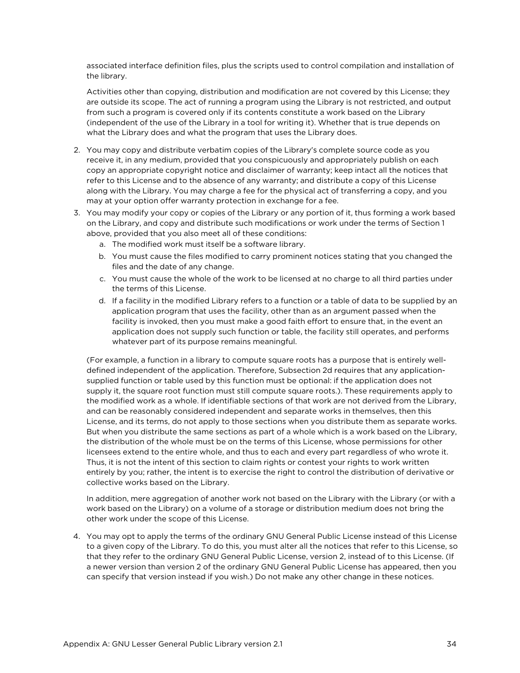associated interface definition files, plus the scripts used to control compilation and installation of the library.

Activities other than copying, distribution and modification are not covered by this License; they are outside its scope. The act of running a program using the Library is not restricted, and output from such a program is covered only if its contents constitute a work based on the Library (independent of the use of the Library in a tool for writing it). Whether that is true depends on what the Library does and what the program that uses the Library does.

- 2. You may copy and distribute verbatim copies of the Library's complete source code as you receive it, in any medium, provided that you conspicuously and appropriately publish on each copy an appropriate copyright notice and disclaimer of warranty; keep intact all the notices that refer to this License and to the absence of any warranty; and distribute a copy of this License along with the Library. You may charge a fee for the physical act of transferring a copy, and you may at your option offer warranty protection in exchange for a fee.
- 3. You may modify your copy or copies of the Library or any portion of it, thus forming a work based on the Library, and copy and distribute such modifications or work under the terms of Section 1 above, provided that you also meet all of these conditions:
	- a. The modified work must itself be a software library.
	- b. You must cause the files modified to carry prominent notices stating that you changed the files and the date of any change.
	- c. You must cause the whole of the work to be licensed at no charge to all third parties under the terms of this License.
	- d. If a facility in the modified Library refers to a function or a table of data to be supplied by an application program that uses the facility, other than as an argument passed when the facility is invoked, then you must make a good faith effort to ensure that, in the event an application does not supply such function or table, the facility still operates, and performs whatever part of its purpose remains meaningful.

(For example, a function in a library to compute square roots has a purpose that is entirely welldefined independent of the application. Therefore, Subsection 2d requires that any applicationsupplied function or table used by this function must be optional: if the application does not supply it, the square root function must still compute square roots.). These requirements apply to the modified work as a whole. If identifiable sections of that work are not derived from the Library, and can be reasonably considered independent and separate works in themselves, then this License, and its terms, do not apply to those sections when you distribute them as separate works. But when you distribute the same sections as part of a whole which is a work based on the Library, the distribution of the whole must be on the terms of this License, whose permissions for other licensees extend to the entire whole, and thus to each and every part regardless of who wrote it. Thus, it is not the intent of this section to claim rights or contest your rights to work written entirely by you; rather, the intent is to exercise the right to control the distribution of derivative or collective works based on the Library.

In addition, mere aggregation of another work not based on the Library with the Library (or with a work based on the Library) on a volume of a storage or distribution medium does not bring the other work under the scope of this License.

4. You may opt to apply the terms of the ordinary GNU General Public License instead of this License to a given copy of the Library. To do this, you must alter all the notices that refer to this License, so that they refer to the ordinary GNU General Public License, version 2, instead of to this License. (If a newer version than version 2 of the ordinary GNU General Public License has appeared, then you can specify that version instead if you wish.) Do not make any other change in these notices.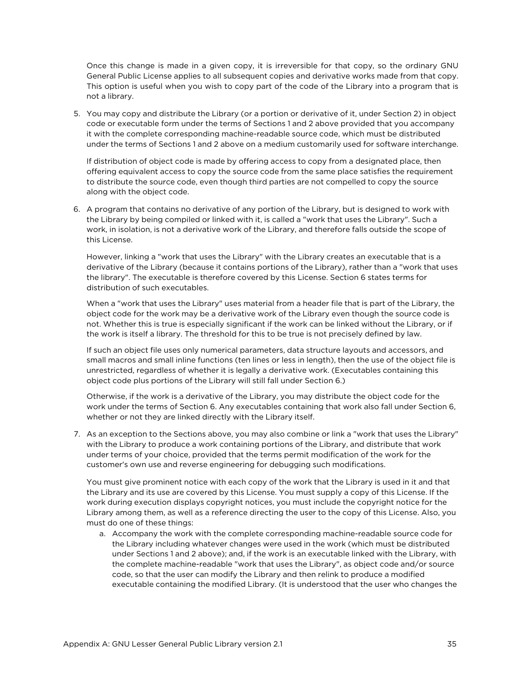Once this change is made in a given copy, it is irreversible for that copy, so the ordinary GNU General Public License applies to all subsequent copies and derivative works made from that copy. This option is useful when you wish to copy part of the code of the Library into a program that is not a library.

5. You may copy and distribute the Library (or a portion or derivative of it, under Section 2) in object code or executable form under the terms of Sections 1 and 2 above provided that you accompany it with the complete corresponding machine-readable source code, which must be distributed under the terms of Sections 1 and 2 above on a medium customarily used for software interchange.

If distribution of object code is made by offering access to copy from a designated place, then offering equivalent access to copy the source code from the same place satisfies the requirement to distribute the source code, even though third parties are not compelled to copy the source along with the object code.

6. A program that contains no derivative of any portion of the Library, but is designed to work with the Library by being compiled or linked with it, is called a "work that uses the Library". Such a work, in isolation, is not a derivative work of the Library, and therefore falls outside the scope of this License.

However, linking a "work that uses the Library" with the Library creates an executable that is a derivative of the Library (because it contains portions of the Library), rather than a "work that uses the library". The executable is therefore covered by this License. Section 6 states terms for distribution of such executables.

When a "work that uses the Library" uses material from a header file that is part of the Library, the object code for the work may be a derivative work of the Library even though the source code is not. Whether this is true is especially significant if the work can be linked without the Library, or if the work is itself a library. The threshold for this to be true is not precisely defined by law.

If such an object file uses only numerical parameters, data structure layouts and accessors, and small macros and small inline functions (ten lines or less in length), then the use of the object file is unrestricted, regardless of whether it is legally a derivative work. (Executables containing this object code plus portions of the Library will still fall under Section 6.)

Otherwise, if the work is a derivative of the Library, you may distribute the object code for the work under the terms of Section 6. Any executables containing that work also fall under Section 6, whether or not they are linked directly with the Library itself.

7. As an exception to the Sections above, you may also combine or link a "work that uses the Library" with the Library to produce a work containing portions of the Library, and distribute that work under terms of your choice, provided that the terms permit modification of the work for the customer's own use and reverse engineering for debugging such modifications.

You must give prominent notice with each copy of the work that the Library is used in it and that the Library and its use are covered by this License. You must supply a copy of this License. If the work during execution displays copyright notices, you must include the copyright notice for the Library among them, as well as a reference directing the user to the copy of this License. Also, you must do one of these things:

a. Accompany the work with the complete corresponding machine-readable source code for the Library including whatever changes were used in the work (which must be distributed under Sections 1 and 2 above); and, if the work is an executable linked with the Library, with the complete machine-readable "work that uses the Library", as object code and/or source code, so that the user can modify the Library and then relink to produce a modified executable containing the modified Library. (It is understood that the user who changes the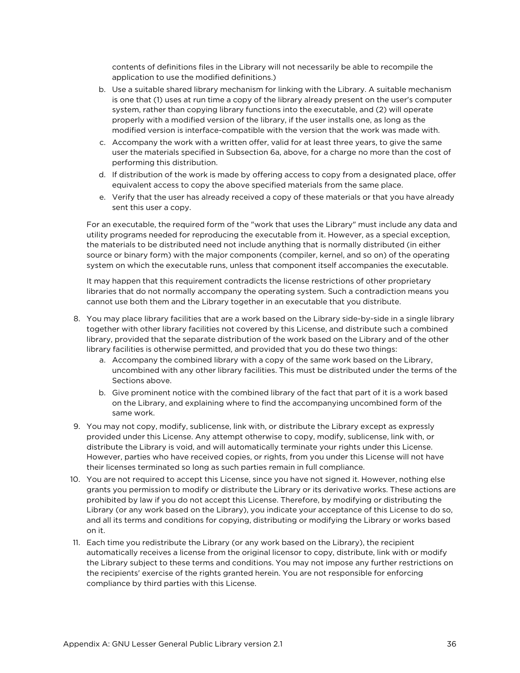contents of definitions files in the Library will not necessarily be able to recompile the application to use the modified definitions.)

- b. Use a suitable shared library mechanism for linking with the Library. A suitable mechanism is one that (1) uses at run time a copy of the library already present on the user's computer system, rather than copying library functions into the executable, and (2) will operate properly with a modified version of the library, if the user installs one, as long as the modified version is interface-compatible with the version that the work was made with.
- c. Accompany the work with a written offer, valid for at least three years, to give the same user the materials specified in Subsection 6a, above, for a charge no more than the cost of performing this distribution.
- d. If distribution of the work is made by offering access to copy from a designated place, offer equivalent access to copy the above specified materials from the same place.
- e. Verify that the user has already received a copy of these materials or that you have already sent this user a copy.

For an executable, the required form of the "work that uses the Library" must include any data and utility programs needed for reproducing the executable from it. However, as a special exception, the materials to be distributed need not include anything that is normally distributed (in either source or binary form) with the major components (compiler, kernel, and so on) of the operating system on which the executable runs, unless that component itself accompanies the executable.

It may happen that this requirement contradicts the license restrictions of other proprietary libraries that do not normally accompany the operating system. Such a contradiction means you cannot use both them and the Library together in an executable that you distribute.

- 8. You may place library facilities that are a work based on the Library side-by-side in a single library together with other library facilities not covered by this License, and distribute such a combined library, provided that the separate distribution of the work based on the Library and of the other library facilities is otherwise permitted, and provided that you do these two things:
	- a. Accompany the combined library with a copy of the same work based on the Library, uncombined with any other library facilities. This must be distributed under the terms of the Sections above.
	- b. Give prominent notice with the combined library of the fact that part of it is a work based on the Library, and explaining where to find the accompanying uncombined form of the same work.
- 9. You may not copy, modify, sublicense, link with, or distribute the Library except as expressly provided under this License. Any attempt otherwise to copy, modify, sublicense, link with, or distribute the Library is void, and will automatically terminate your rights under this License. However, parties who have received copies, or rights, from you under this License will not have their licenses terminated so long as such parties remain in full compliance.
- 10. You are not required to accept this License, since you have not signed it. However, nothing else grants you permission to modify or distribute the Library or its derivative works. These actions are prohibited by law if you do not accept this License. Therefore, by modifying or distributing the Library (or any work based on the Library), you indicate your acceptance of this License to do so, and all its terms and conditions for copying, distributing or modifying the Library or works based on it.
- 11. Each time you redistribute the Library (or any work based on the Library), the recipient automatically receives a license from the original licensor to copy, distribute, link with or modify the Library subject to these terms and conditions. You may not impose any further restrictions on the recipients' exercise of the rights granted herein. You are not responsible for enforcing compliance by third parties with this License.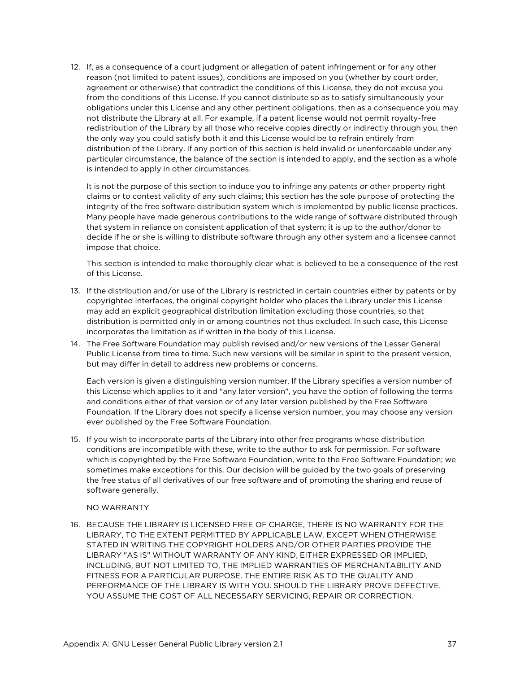12. If, as a consequence of a court judgment or allegation of patent infringement or for any other reason (not limited to patent issues), conditions are imposed on you (whether by court order, agreement or otherwise) that contradict the conditions of this License, they do not excuse you from the conditions of this License. If you cannot distribute so as to satisfy simultaneously your obligations under this License and any other pertinent obligations, then as a consequence you may not distribute the Library at all. For example, if a patent license would not permit royalty-free redistribution of the Library by all those who receive copies directly or indirectly through you, then the only way you could satisfy both it and this License would be to refrain entirely from distribution of the Library. If any portion of this section is held invalid or unenforceable under any particular circumstance, the balance of the section is intended to apply, and the section as a whole is intended to apply in other circumstances.

It is not the purpose of this section to induce you to infringe any patents or other property right claims or to contest validity of any such claims; this section has the sole purpose of protecting the integrity of the free software distribution system which is implemented by public license practices. Many people have made generous contributions to the wide range of software distributed through that system in reliance on consistent application of that system; it is up to the author/donor to decide if he or she is willing to distribute software through any other system and a licensee cannot impose that choice.

This section is intended to make thoroughly clear what is believed to be a consequence of the rest of this License.

- 13. If the distribution and/or use of the Library is restricted in certain countries either by patents or by copyrighted interfaces, the original copyright holder who places the Library under this License may add an explicit geographical distribution limitation excluding those countries, so that distribution is permitted only in or among countries not thus excluded. In such case, this License incorporates the limitation as if written in the body of this License.
- 14. The Free Software Foundation may publish revised and/or new versions of the Lesser General Public License from time to time. Such new versions will be similar in spirit to the present version, but may differ in detail to address new problems or concerns.

Each version is given a distinguishing version number. If the Library specifies a version number of this License which applies to it and "any later version", you have the option of following the terms and conditions either of that version or of any later version published by the Free Software Foundation. If the Library does not specify a license version number, you may choose any version ever published by the Free Software Foundation.

15. If you wish to incorporate parts of the Library into other free programs whose distribution conditions are incompatible with these, write to the author to ask for permission. For software which is copyrighted by the Free Software Foundation, write to the Free Software Foundation; we sometimes make exceptions for this. Our decision will be guided by the two goals of preserving the free status of all derivatives of our free software and of promoting the sharing and reuse of software generally.

#### NO WARRANTY

16. BECAUSE THE LIBRARY IS LICENSED FREE OF CHARGE, THERE IS NO WARRANTY FOR THE LIBRARY, TO THE EXTENT PERMITTED BY APPLICABLE LAW. EXCEPT WHEN OTHERWISE STATED IN WRITING THE COPYRIGHT HOLDERS AND/OR OTHER PARTIES PROVIDE THE LIBRARY "AS IS" WITHOUT WARRANTY OF ANY KIND, EITHER EXPRESSED OR IMPLIED, INCLUDING, BUT NOT LIMITED TO, THE IMPLIED WARRANTIES OF MERCHANTABILITY AND FITNESS FOR A PARTICULAR PURPOSE. THE ENTIRE RISK AS TO THE QUALITY AND PERFORMANCE OF THE LIBRARY IS WITH YOU. SHOULD THE LIBRARY PROVE DEFECTIVE, YOU ASSUME THE COST OF ALL NECESSARY SERVICING, REPAIR OR CORRECTION.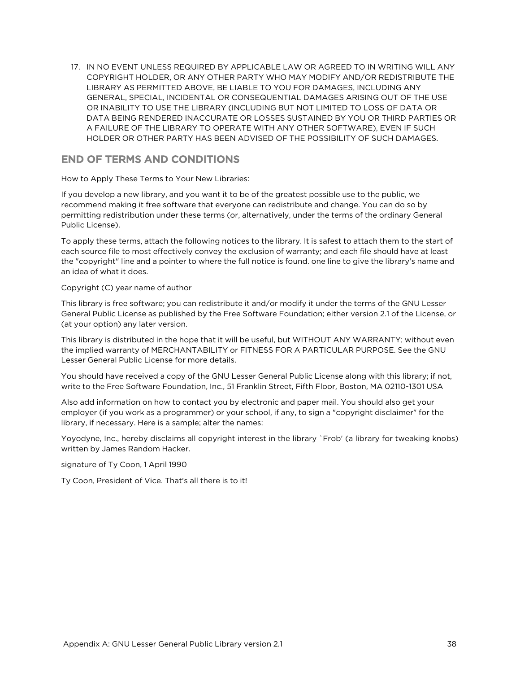17. IN NO EVENT UNLESS REQUIRED BY APPLICABLE LAW OR AGREED TO IN WRITING WILL ANY COPYRIGHT HOLDER, OR ANY OTHER PARTY WHO MAY MODIFY AND/OR REDISTRIBUTE THE LIBRARY AS PERMITTED ABOVE, BE LIABLE TO YOU FOR DAMAGES, INCLUDING ANY GENERAL, SPECIAL, INCIDENTAL OR CONSEQUENTIAL DAMAGES ARISING OUT OF THE USE OR INABILITY TO USE THE LIBRARY (INCLUDING BUT NOT LIMITED TO LOSS OF DATA OR DATA BEING RENDERED INACCURATE OR LOSSES SUSTAINED BY YOU OR THIRD PARTIES OR A FAILURE OF THE LIBRARY TO OPERATE WITH ANY OTHER SOFTWARE), EVEN IF SUCH HOLDER OR OTHER PARTY HAS BEEN ADVISED OF THE POSSIBILITY OF SUCH DAMAGES.

#### END OF TERMS AND CONDITIONS

How to Apply These Terms to Your New Libraries:

If you develop a new library, and you want it to be of the greatest possible use to the public, we recommend making it free software that everyone can redistribute and change. You can do so by permitting redistribution under these terms (or, alternatively, under the terms of the ordinary General Public License).

To apply these terms, attach the following notices to the library. It is safest to attach them to the start of each source file to most effectively convey the exclusion of warranty; and each file should have at least the "copyright" line and a pointer to where the full notice is found. one line to give the library's name and an idea of what it does.

#### Copyright (C) year name of author

This library is free software; you can redistribute it and/or modify it under the terms of the GNU Lesser General Public License as published by the Free Software Foundation; either version 2.1 of the License, or (at your option) any later version.

This library is distributed in the hope that it will be useful, but WITHOUT ANY WARRANTY; without even the implied warranty of MERCHANTABILITY or FITNESS FOR A PARTICULAR PURPOSE. See the GNU Lesser General Public License for more details.

You should have received a copy of the GNU Lesser General Public License along with this library; if not, write to the Free Software Foundation, Inc., 51 Franklin Street, Fifth Floor, Boston, MA 02110-1301 USA

Also add information on how to contact you by electronic and paper mail. You should also get your employer (if you work as a programmer) or your school, if any, to sign a "copyright disclaimer" for the library, if necessary. Here is a sample; alter the names:

Yoyodyne, Inc., hereby disclaims all copyright interest in the library `Frob' (a library for tweaking knobs) written by James Random Hacker.

signature of Ty Coon, 1 April 1990

Ty Coon, President of Vice. That's all there is to it!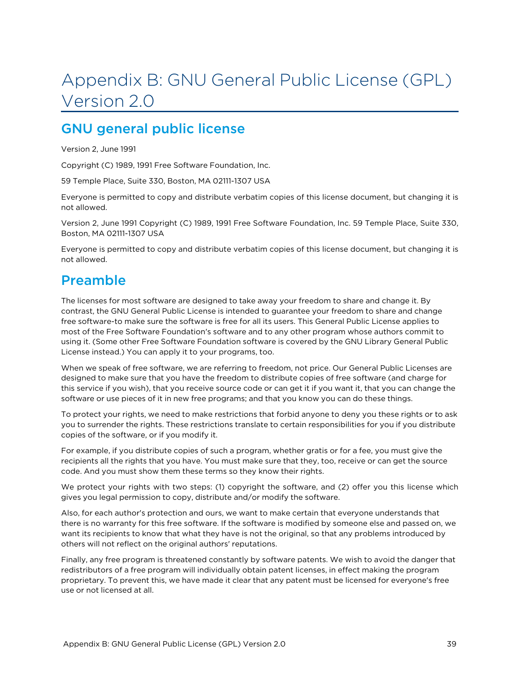# <span id="page-38-0"></span>Appendix B: GNU General Public License (GPL) Version 2.0

## <span id="page-38-1"></span>GNU general public license

Version 2, June 1991

Copyright (C) 1989, 1991 Free Software Foundation, Inc.

59 Temple Place, Suite 330, Boston, MA 02111-1307 USA

Everyone is permitted to copy and distribute verbatim copies of this license document, but changing it is not allowed.

Version 2, June 1991 Copyright (C) 1989, 1991 Free Software Foundation, Inc. 59 Temple Place, Suite 330, Boston, MA 02111-1307 USA

<span id="page-38-2"></span>Everyone is permitted to copy and distribute verbatim copies of this license document, but changing it is not allowed.

## Preamble

The licenses for most software are designed to take away your freedom to share and change it. By contrast, the GNU General Public License is intended to guarantee your freedom to share and change free software-to make sure the software is free for all its users. This General Public License applies to most of the Free Software Foundation's software and to any other program whose authors commit to using it. (Some other Free Software Foundation software is covered by the GNU Library General Public License instead.) You can apply it to your programs, too.

When we speak of free software, we are referring to freedom, not price. Our General Public Licenses are designed to make sure that you have the freedom to distribute copies of free software (and charge for this service if you wish), that you receive source code or can get it if you want it, that you can change the software or use pieces of it in new free programs; and that you know you can do these things.

To protect your rights, we need to make restrictions that forbid anyone to deny you these rights or to ask you to surrender the rights. These restrictions translate to certain responsibilities for you if you distribute copies of the software, or if you modify it.

For example, if you distribute copies of such a program, whether gratis or for a fee, you must give the recipients all the rights that you have. You must make sure that they, too, receive or can get the source code. And you must show them these terms so they know their rights.

We protect your rights with two steps: (1) copyright the software, and (2) offer you this license which gives you legal permission to copy, distribute and/or modify the software.

Also, for each author's protection and ours, we want to make certain that everyone understands that there is no warranty for this free software. If the software is modified by someone else and passed on, we want its recipients to know that what they have is not the original, so that any problems introduced by others will not reflect on the original authors' reputations.

Finally, any free program is threatened constantly by software patents. We wish to avoid the danger that redistributors of a free program will individually obtain patent licenses, in effect making the program proprietary. To prevent this, we have made it clear that any patent must be licensed for everyone's free use or not licensed at all.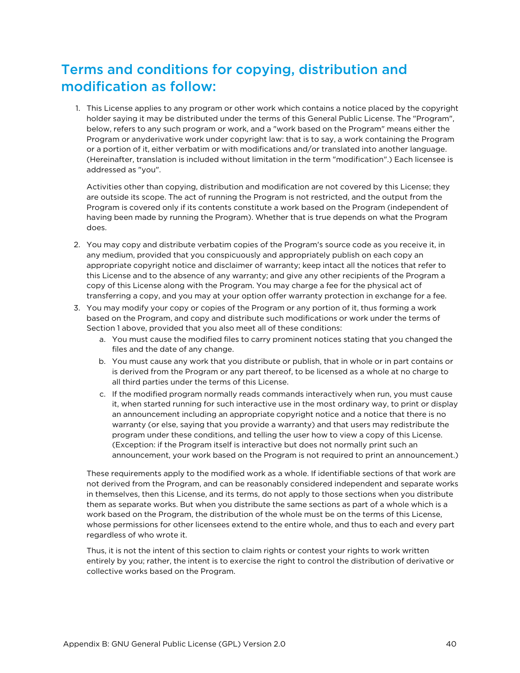## <span id="page-39-0"></span>Terms and conditions for copying, distribution and modification as follow:

1. This License applies to any program or other work which contains a notice placed by the copyright holder saying it may be distributed under the terms of this General Public License. The "Program", below, refers to any such program or work, and a "work based on the Program" means either the Program or anyderivative work under copyright law: that is to say, a work containing the Program or a portion of it, either verbatim or with modifications and/or translated into another language. (Hereinafter, translation is included without limitation in the term "modification".) Each licensee is addressed as "you".

Activities other than copying, distribution and modification are not covered by this License; they are outside its scope. The act of running the Program is not restricted, and the output from the Program is covered only if its contents constitute a work based on the Program (independent of having been made by running the Program). Whether that is true depends on what the Program does.

- 2. You may copy and distribute verbatim copies of the Program's source code as you receive it, in any medium, provided that you conspicuously and appropriately publish on each copy an appropriate copyright notice and disclaimer of warranty; keep intact all the notices that refer to this License and to the absence of any warranty; and give any other recipients of the Program a copy of this License along with the Program. You may charge a fee for the physical act of transferring a copy, and you may at your option offer warranty protection in exchange for a fee.
- 3. You may modify your copy or copies of the Program or any portion of it, thus forming a work based on the Program, and copy and distribute such modifications or work under the terms of Section 1 above, provided that you also meet all of these conditions:
	- a. You must cause the modified files to carry prominent notices stating that you changed the files and the date of any change.
	- b. You must cause any work that you distribute or publish, that in whole or in part contains or is derived from the Program or any part thereof, to be licensed as a whole at no charge to all third parties under the terms of this License.
	- c. If the modified program normally reads commands interactively when run, you must cause it, when started running for such interactive use in the most ordinary way, to print or display an announcement including an appropriate copyright notice and a notice that there is no warranty (or else, saying that you provide a warranty) and that users may redistribute the program under these conditions, and telling the user how to view a copy of this License. (Exception: if the Program itself is interactive but does not normally print such an announcement, your work based on the Program is not required to print an announcement.)

These requirements apply to the modified work as a whole. If identifiable sections of that work are not derived from the Program, and can be reasonably considered independent and separate works in themselves, then this License, and its terms, do not apply to those sections when you distribute them as separate works. But when you distribute the same sections as part of a whole which is a work based on the Program, the distribution of the whole must be on the terms of this License, whose permissions for other licensees extend to the entire whole, and thus to each and every part regardless of who wrote it.

Thus, it is not the intent of this section to claim rights or contest your rights to work written entirely by you; rather, the intent is to exercise the right to control the distribution of derivative or collective works based on the Program.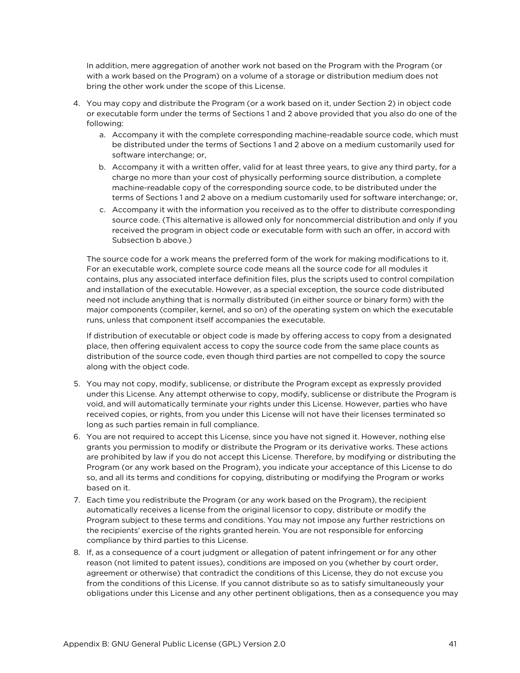In addition, mere aggregation of another work not based on the Program with the Program (or with a work based on the Program) on a volume of a storage or distribution medium does not bring the other work under the scope of this License.

- 4. You may copy and distribute the Program (or a work based on it, under Section 2) in object code or executable form under the terms of Sections 1 and 2 above provided that you also do one of the following:
	- a. Accompany it with the complete corresponding machine-readable source code, which must be distributed under the terms of Sections 1 and 2 above on a medium customarily used for software interchange; or,
	- b. Accompany it with a written offer, valid for at least three years, to give any third party, for a charge no more than your cost of physically performing source distribution, a complete machine-readable copy of the corresponding source code, to be distributed under the terms of Sections 1 and 2 above on a medium customarily used for software interchange; or,
	- c. Accompany it with the information you received as to the offer to distribute corresponding source code. (This alternative is allowed only for noncommercial distribution and only if you received the program in object code or executable form with such an offer, in accord with Subsection b above.)

The source code for a work means the preferred form of the work for making modifications to it. For an executable work, complete source code means all the source code for all modules it contains, plus any associated interface definition files, plus the scripts used to control compilation and installation of the executable. However, as a special exception, the source code distributed need not include anything that is normally distributed (in either source or binary form) with the major components (compiler, kernel, and so on) of the operating system on which the executable runs, unless that component itself accompanies the executable.

If distribution of executable or object code is made by offering access to copy from a designated place, then offering equivalent access to copy the source code from the same place counts as distribution of the source code, even though third parties are not compelled to copy the source along with the object code.

- 5. You may not copy, modify, sublicense, or distribute the Program except as expressly provided under this License. Any attempt otherwise to copy, modify, sublicense or distribute the Program is void, and will automatically terminate your rights under this License. However, parties who have received copies, or rights, from you under this License will not have their licenses terminated so long as such parties remain in full compliance.
- 6. You are not required to accept this License, since you have not signed it. However, nothing else grants you permission to modify or distribute the Program or its derivative works. These actions are prohibited by law if you do not accept this License. Therefore, by modifying or distributing the Program (or any work based on the Program), you indicate your acceptance of this License to do so, and all its terms and conditions for copying, distributing or modifying the Program or works based on it.
- 7. Each time you redistribute the Program (or any work based on the Program), the recipient automatically receives a license from the original licensor to copy, distribute or modify the Program subject to these terms and conditions. You may not impose any further restrictions on the recipients' exercise of the rights granted herein. You are not responsible for enforcing compliance by third parties to this License.
- 8. If, as a consequence of a court judgment or allegation of patent infringement or for any other reason (not limited to patent issues), conditions are imposed on you (whether by court order, agreement or otherwise) that contradict the conditions of this License, they do not excuse you from the conditions of this License. If you cannot distribute so as to satisfy simultaneously your obligations under this License and any other pertinent obligations, then as a consequence you may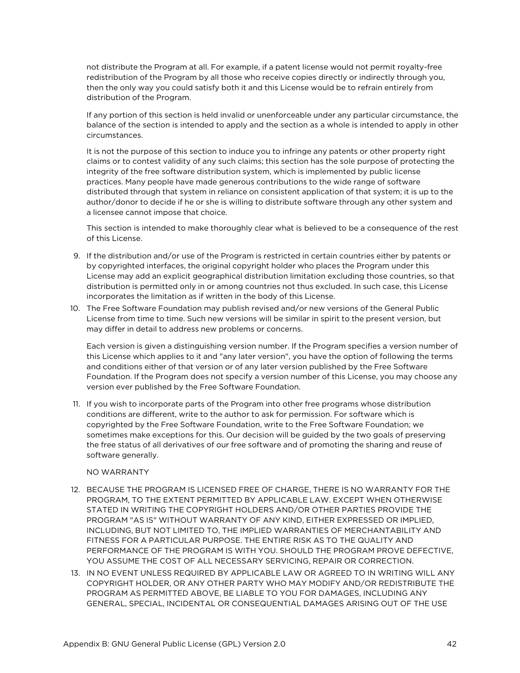not distribute the Program at all. For example, if a patent license would not permit royalty-free redistribution of the Program by all those who receive copies directly or indirectly through you, then the only way you could satisfy both it and this License would be to refrain entirely from distribution of the Program.

If any portion of this section is held invalid or unenforceable under any particular circumstance, the balance of the section is intended to apply and the section as a whole is intended to apply in other circumstances.

It is not the purpose of this section to induce you to infringe any patents or other property right claims or to contest validity of any such claims; this section has the sole purpose of protecting the integrity of the free software distribution system, which is implemented by public license practices. Many people have made generous contributions to the wide range of software distributed through that system in reliance on consistent application of that system; it is up to the author/donor to decide if he or she is willing to distribute software through any other system and a licensee cannot impose that choice.

This section is intended to make thoroughly clear what is believed to be a consequence of the rest of this License.

- 9. If the distribution and/or use of the Program is restricted in certain countries either by patents or by copyrighted interfaces, the original copyright holder who places the Program under this License may add an explicit geographical distribution limitation excluding those countries, so that distribution is permitted only in or among countries not thus excluded. In such case, this License incorporates the limitation as if written in the body of this License.
- 10. The Free Software Foundation may publish revised and/or new versions of the General Public License from time to time. Such new versions will be similar in spirit to the present version, but may differ in detail to address new problems or concerns.

Each version is given a distinguishing version number. If the Program specifies a version number of this License which applies to it and "any later version", you have the option of following the terms and conditions either of that version or of any later version published by the Free Software Foundation. If the Program does not specify a version number of this License, you may choose any version ever published by the Free Software Foundation.

11. If you wish to incorporate parts of the Program into other free programs whose distribution conditions are different, write to the author to ask for permission. For software which is copyrighted by the Free Software Foundation, write to the Free Software Foundation; we sometimes make exceptions for this. Our decision will be guided by the two goals of preserving the free status of all derivatives of our free software and of promoting the sharing and reuse of software generally.

#### NO WARRANTY

- 12. BECAUSE THE PROGRAM IS LICENSED FREE OF CHARGE, THERE IS NO WARRANTY FOR THE PROGRAM, TO THE EXTENT PERMITTED BY APPLICABLE LAW. EXCEPT WHEN OTHERWISE STATED IN WRITING THE COPYRIGHT HOLDERS AND/OR OTHER PARTIES PROVIDE THE PROGRAM "AS IS" WITHOUT WARRANTY OF ANY KIND, EITHER EXPRESSED OR IMPLIED, INCLUDING, BUT NOT LIMITED TO, THE IMPLIED WARRANTIES OF MERCHANTABILITY AND FITNESS FOR A PARTICULAR PURPOSE. THE ENTIRE RISK AS TO THE QUALITY AND PERFORMANCE OF THE PROGRAM IS WITH YOU. SHOULD THE PROGRAM PROVE DEFECTIVE, YOU ASSUME THE COST OF ALL NECESSARY SERVICING, REPAIR OR CORRECTION.
- 13. IN NO EVENT UNLESS REQUIRED BY APPLICABLE LAW OR AGREED TO IN WRITING WILL ANY COPYRIGHT HOLDER, OR ANY OTHER PARTY WHO MAY MODIFY AND/OR REDISTRIBUTE THE PROGRAM AS PERMITTED ABOVE, BE LIABLE TO YOU FOR DAMAGES, INCLUDING ANY GENERAL, SPECIAL, INCIDENTAL OR CONSEQUENTIAL DAMAGES ARISING OUT OF THE USE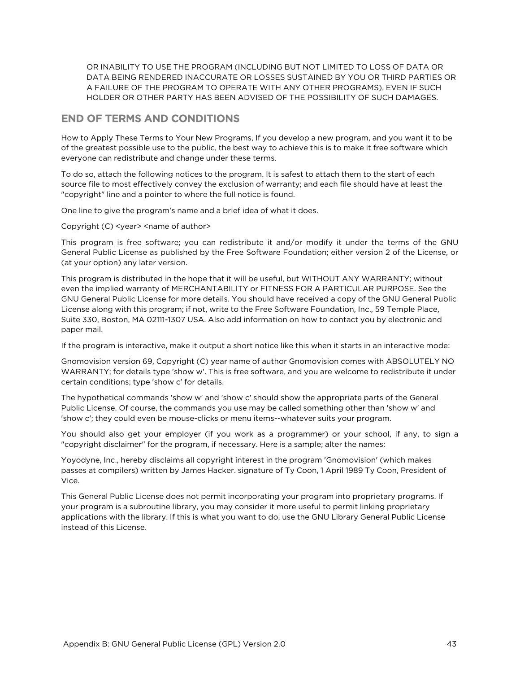OR INABILITY TO USE THE PROGRAM (INCLUDING BUT NOT LIMITED TO LOSS OF DATA OR DATA BEING RENDERED INACCURATE OR LOSSES SUSTAINED BY YOU OR THIRD PARTIES OR A FAILURE OF THE PROGRAM TO OPERATE WITH ANY OTHER PROGRAMS), EVEN IF SUCH HOLDER OR OTHER PARTY HAS BEEN ADVISED OF THE POSSIBILITY OF SUCH DAMAGES.

#### END OF TERMS AND CONDITIONS

How to Apply These Terms to Your New Programs, If you develop a new program, and you want it to be of the greatest possible use to the public, the best way to achieve this is to make it free software which everyone can redistribute and change under these terms.

To do so, attach the following notices to the program. It is safest to attach them to the start of each source file to most effectively convey the exclusion of warranty; and each file should have at least the "copyright" line and a pointer to where the full notice is found.

One line to give the program's name and a brief idea of what it does.

Copyright (C) <year> <name of author>

This program is free software; you can redistribute it and/or modify it under the terms of the GNU General Public License as published by the Free Software Foundation; either version 2 of the License, or (at your option) any later version.

This program is distributed in the hope that it will be useful, but WITHOUT ANY WARRANTY; without even the implied warranty of MERCHANTABILITY or FITNESS FOR A PARTICULAR PURPOSE. See the GNU General Public License for more details. You should have received a copy of the GNU General Public License along with this program; if not, write to the Free Software Foundation, Inc., 59 Temple Place, Suite 330, Boston, MA 02111-1307 USA. Also add information on how to contact you by electronic and paper mail.

If the program is interactive, make it output a short notice like this when it starts in an interactive mode:

Gnomovision version 69, Copyright (C) year name of author Gnomovision comes with ABSOLUTELY NO WARRANTY; for details type 'show w'. This is free software, and you are welcome to redistribute it under certain conditions; type 'show c' for details.

The hypothetical commands 'show w' and 'show c' should show the appropriate parts of the General Public License. Of course, the commands you use may be called something other than 'show w' and 'show c'; they could even be mouse-clicks or menu items--whatever suits your program.

You should also get your employer (if you work as a programmer) or your school, if any, to sign a "copyright disclaimer" for the program, if necessary. Here is a sample; alter the names:

Yoyodyne, Inc., hereby disclaims all copyright interest in the program 'Gnomovision' (which makes passes at compilers) written by James Hacker. signature of Ty Coon, 1 April 1989 Ty Coon, President of Vice.

This General Public License does not permit incorporating your program into proprietary programs. If your program is a subroutine library, you may consider it more useful to permit linking proprietary applications with the library. If this is what you want to do, use the GNU Library General Public License instead of this License.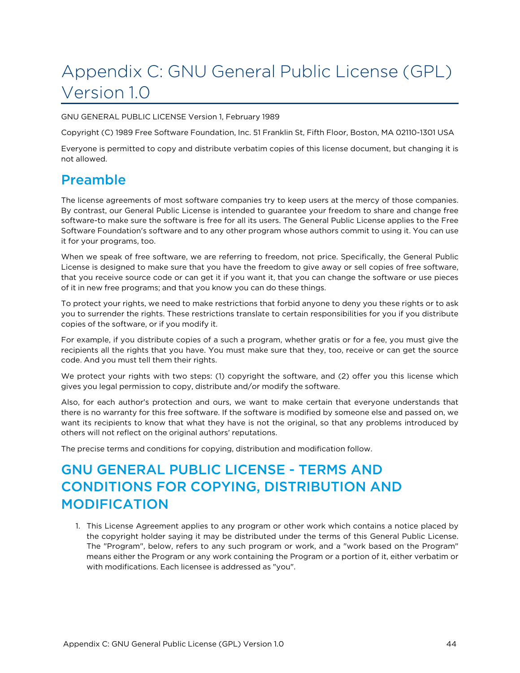# <span id="page-43-0"></span>Appendix C: GNU General Public License (GPL) Version 1.0

GNU GENERAL PUBLIC LICENSE Version 1, February 1989

Copyright (C) 1989 Free Software Foundation, Inc. 51 Franklin St, Fifth Floor, Boston, MA 02110-1301 USA

<span id="page-43-1"></span>Everyone is permitted to copy and distribute verbatim copies of this license document, but changing it is not allowed.

## Preamble

The license agreements of most software companies try to keep users at the mercy of those companies. By contrast, our General Public License is intended to guarantee your freedom to share and change free software-to make sure the software is free for all its users. The General Public License applies to the Free Software Foundation's software and to any other program whose authors commit to using it. You can use it for your programs, too.

When we speak of free software, we are referring to freedom, not price. Specifically, the General Public License is designed to make sure that you have the freedom to give away or sell copies of free software, that you receive source code or can get it if you want it, that you can change the software or use pieces of it in new free programs; and that you know you can do these things.

To protect your rights, we need to make restrictions that forbid anyone to deny you these rights or to ask you to surrender the rights. These restrictions translate to certain responsibilities for you if you distribute copies of the software, or if you modify it.

For example, if you distribute copies of a such a program, whether gratis or for a fee, you must give the recipients all the rights that you have. You must make sure that they, too, receive or can get the source code. And you must tell them their rights.

We protect your rights with two steps: (1) copyright the software, and (2) offer you this license which gives you legal permission to copy, distribute and/or modify the software.

Also, for each author's protection and ours, we want to make certain that everyone understands that there is no warranty for this free software. If the software is modified by someone else and passed on, we want its recipients to know that what they have is not the original, so that any problems introduced by others will not reflect on the original authors' reputations.

<span id="page-43-2"></span>The precise terms and conditions for copying, distribution and modification follow.

## GNU GENERAL PUBLIC LICENSE - TERMS AND CONDITIONS FOR COPYING, DISTRIBUTION AND MODIFICATION

1. This License Agreement applies to any program or other work which contains a notice placed by the copyright holder saying it may be distributed under the terms of this General Public License. The "Program", below, refers to any such program or work, and a "work based on the Program" means either the Program or any work containing the Program or a portion of it, either verbatim or with modifications. Each licensee is addressed as "you".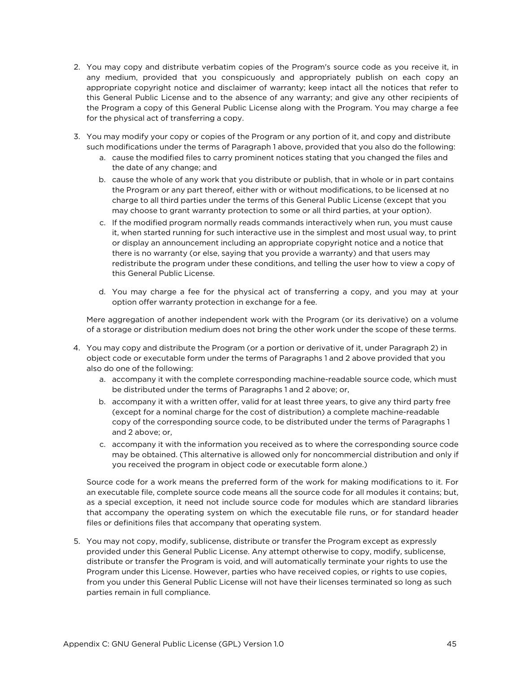- 2. You may copy and distribute verbatim copies of the Program's source code as you receive it, in any medium, provided that you conspicuously and appropriately publish on each copy an appropriate copyright notice and disclaimer of warranty; keep intact all the notices that refer to this General Public License and to the absence of any warranty; and give any other recipients of the Program a copy of this General Public License along with the Program. You may charge a fee for the physical act of transferring a copy.
- 3. You may modify your copy or copies of the Program or any portion of it, and copy and distribute such modifications under the terms of Paragraph 1 above, provided that you also do the following:
	- a. cause the modified files to carry prominent notices stating that you changed the files and the date of any change; and
	- b. cause the whole of any work that you distribute or publish, that in whole or in part contains the Program or any part thereof, either with or without modifications, to be licensed at no charge to all third parties under the terms of this General Public License (except that you may choose to grant warranty protection to some or all third parties, at your option).
	- c. If the modified program normally reads commands interactively when run, you must cause it, when started running for such interactive use in the simplest and most usual way, to print or display an announcement including an appropriate copyright notice and a notice that there is no warranty (or else, saying that you provide a warranty) and that users may redistribute the program under these conditions, and telling the user how to view a copy of this General Public License.
	- d. You may charge a fee for the physical act of transferring a copy, and you may at your option offer warranty protection in exchange for a fee.

Mere aggregation of another independent work with the Program (or its derivative) on a volume of a storage or distribution medium does not bring the other work under the scope of these terms.

- 4. You may copy and distribute the Program (or a portion or derivative of it, under Paragraph 2) in object code or executable form under the terms of Paragraphs 1 and 2 above provided that you also do one of the following:
	- a. accompany it with the complete corresponding machine-readable source code, which must be distributed under the terms of Paragraphs 1 and 2 above; or,
	- b. accompany it with a written offer, valid for at least three years, to give any third party free (except for a nominal charge for the cost of distribution) a complete machine-readable copy of the corresponding source code, to be distributed under the terms of Paragraphs 1 and 2 above; or,
	- c. accompany it with the information you received as to where the corresponding source code may be obtained. (This alternative is allowed only for noncommercial distribution and only if you received the program in object code or executable form alone.)

Source code for a work means the preferred form of the work for making modifications to it. For an executable file, complete source code means all the source code for all modules it contains; but, as a special exception, it need not include source code for modules which are standard libraries that accompany the operating system on which the executable file runs, or for standard header files or definitions files that accompany that operating system.

5. You may not copy, modify, sublicense, distribute or transfer the Program except as expressly provided under this General Public License. Any attempt otherwise to copy, modify, sublicense, distribute or transfer the Program is void, and will automatically terminate your rights to use the Program under this License. However, parties who have received copies, or rights to use copies, from you under this General Public License will not have their licenses terminated so long as such parties remain in full compliance.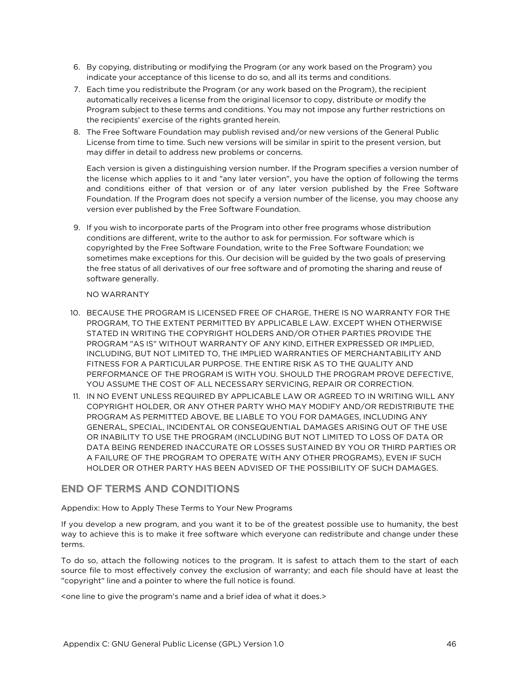- 6. By copying, distributing or modifying the Program (or any work based on the Program) you indicate your acceptance of this license to do so, and all its terms and conditions.
- 7. Each time you redistribute the Program (or any work based on the Program), the recipient automatically receives a license from the original licensor to copy, distribute or modify the Program subject to these terms and conditions. You may not impose any further restrictions on the recipients' exercise of the rights granted herein.
- 8. The Free Software Foundation may publish revised and/or new versions of the General Public License from time to time. Such new versions will be similar in spirit to the present version, but may differ in detail to address new problems or concerns.

Each version is given a distinguishing version number. If the Program specifies a version number of the license which applies to it and "any later version", you have the option of following the terms and conditions either of that version or of any later version published by the Free Software Foundation. If the Program does not specify a version number of the license, you may choose any version ever published by the Free Software Foundation.

9. If you wish to incorporate parts of the Program into other free programs whose distribution conditions are different, write to the author to ask for permission. For software which is copyrighted by the Free Software Foundation, write to the Free Software Foundation; we sometimes make exceptions for this. Our decision will be guided by the two goals of preserving the free status of all derivatives of our free software and of promoting the sharing and reuse of software generally.

#### NO WARRANTY

- 10. BECAUSE THE PROGRAM IS LICENSED FREE OF CHARGE, THERE IS NO WARRANTY FOR THE PROGRAM, TO THE EXTENT PERMITTED BY APPLICABLE LAW. EXCEPT WHEN OTHERWISE STATED IN WRITING THE COPYRIGHT HOLDERS AND/OR OTHER PARTIES PROVIDE THE PROGRAM "AS IS" WITHOUT WARRANTY OF ANY KIND, EITHER EXPRESSED OR IMPLIED, INCLUDING, BUT NOT LIMITED TO, THE IMPLIED WARRANTIES OF MERCHANTABILITY AND FITNESS FOR A PARTICULAR PURPOSE. THE ENTIRE RISK AS TO THE QUALITY AND PERFORMANCE OF THE PROGRAM IS WITH YOU. SHOULD THE PROGRAM PROVE DEFECTIVE, YOU ASSUME THE COST OF ALL NECESSARY SERVICING, REPAIR OR CORRECTION.
- 11. IN NO EVENT UNLESS REQUIRED BY APPLICABLE LAW OR AGREED TO IN WRITING WILL ANY COPYRIGHT HOLDER, OR ANY OTHER PARTY WHO MAY MODIFY AND/OR REDISTRIBUTE THE PROGRAM AS PERMITTED ABOVE, BE LIABLE TO YOU FOR DAMAGES, INCLUDING ANY GENERAL, SPECIAL, INCIDENTAL OR CONSEQUENTIAL DAMAGES ARISING OUT OF THE USE OR INABILITY TO USE THE PROGRAM (INCLUDING BUT NOT LIMITED TO LOSS OF DATA OR DATA BEING RENDERED INACCURATE OR LOSSES SUSTAINED BY YOU OR THIRD PARTIES OR A FAILURE OF THE PROGRAM TO OPERATE WITH ANY OTHER PROGRAMS), EVEN IF SUCH HOLDER OR OTHER PARTY HAS BEEN ADVISED OF THE POSSIBILITY OF SUCH DAMAGES.

#### END OF TERMS AND CONDITIONS

Appendix: How to Apply These Terms to Your New Programs

If you develop a new program, and you want it to be of the greatest possible use to humanity, the best way to achieve this is to make it free software which everyone can redistribute and change under these terms.

To do so, attach the following notices to the program. It is safest to attach them to the start of each source file to most effectively convey the exclusion of warranty; and each file should have at least the "copyright" line and a pointer to where the full notice is found.

<one line to give the program's name and a brief idea of what it does.>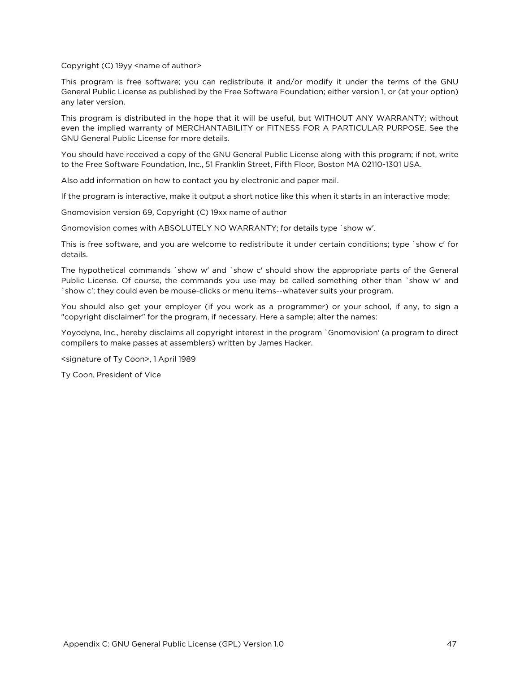Copyright (C) 19yy <name of author>

This program is free software; you can redistribute it and/or modify it under the terms of the GNU General Public License as published by the Free Software Foundation; either version 1, or (at your option) any later version.

This program is distributed in the hope that it will be useful, but WITHOUT ANY WARRANTY; without even the implied warranty of MERCHANTABILITY or FITNESS FOR A PARTICULAR PURPOSE. See the GNU General Public License for more details.

You should have received a copy of the GNU General Public License along with this program; if not, write to the Free Software Foundation, Inc., 51 Franklin Street, Fifth Floor, Boston MA 02110-1301 USA.

Also add information on how to contact you by electronic and paper mail.

If the program is interactive, make it output a short notice like this when it starts in an interactive mode:

Gnomovision version 69, Copyright (C) 19xx name of author

Gnomovision comes with ABSOLUTELY NO WARRANTY; for details type `show w'.

This is free software, and you are welcome to redistribute it under certain conditions; type `show c' for details.

The hypothetical commands `show w' and `show c' should show the appropriate parts of the General Public License. Of course, the commands you use may be called something other than `show w' and `show c'; they could even be mouse-clicks or menu items--whatever suits your program.

You should also get your employer (if you work as a programmer) or your school, if any, to sign a "copyright disclaimer" for the program, if necessary. Here a sample; alter the names:

Yoyodyne, Inc., hereby disclaims all copyright interest in the program `Gnomovision' (a program to direct compilers to make passes at assemblers) written by James Hacker.

<signature of Ty Coon>, 1 April 1989

Ty Coon, President of Vice